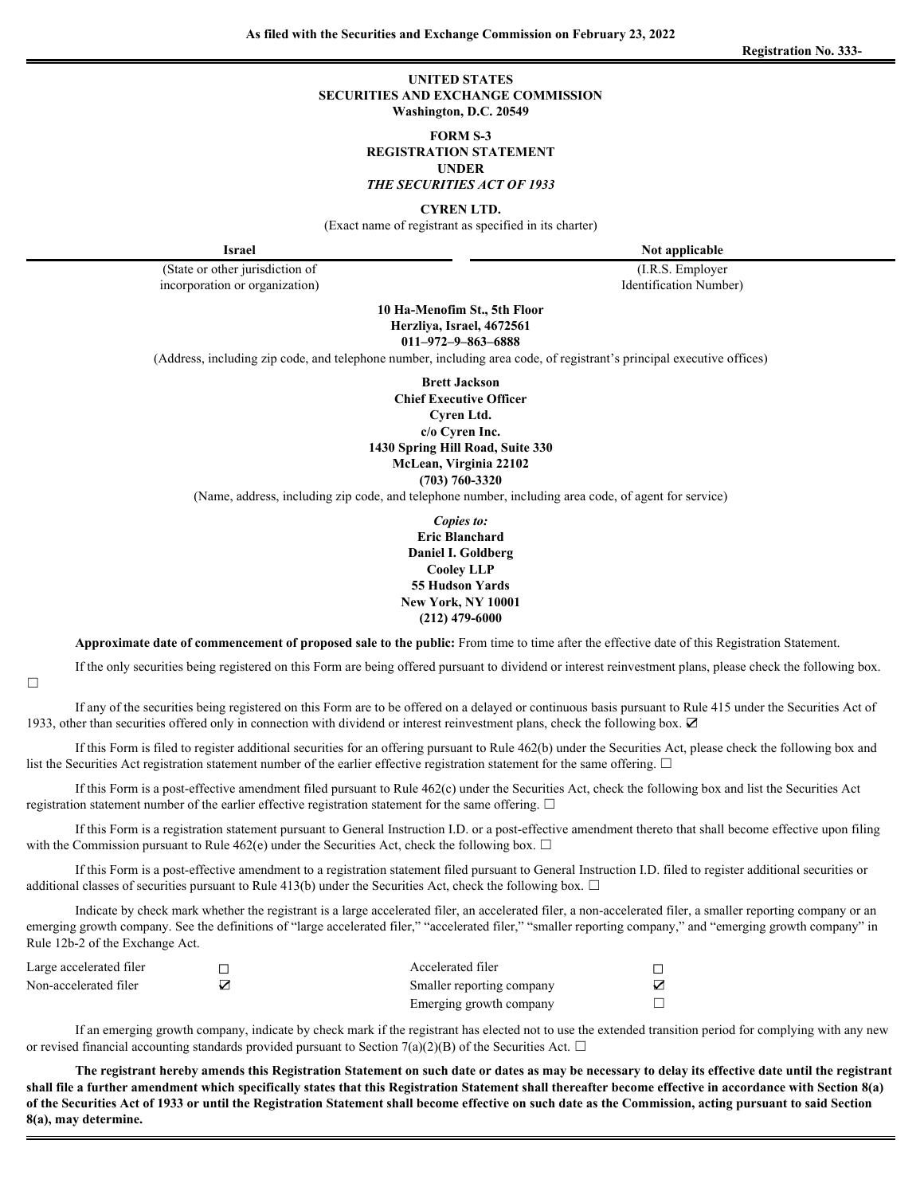**Registration No. 333-**

#### **UNITED STATES SECURITIES AND EXCHANGE COMMISSION Washington, D.C. 20549**

**FORM S-3**

**REGISTRATION STATEMENT**

#### **UNDER**

*THE SECURITIES ACT OF 1933*

**CYREN LTD.**

(Exact name of registrant as specified in its charter)

(State or other jurisdiction of incorporation or organization)

**Israel Note applicable Note applicable** 

(I.R.S. Employer Identification Number)

**10 Ha-Menofim St., 5th Floor Herzliya, Israel, 4672561 011–972–9–863–6888**

(Address, including zip code, and telephone number, including area code, of registrant's principal executive offices)

**Brett Jackson Chief Executive Officer Cyren Ltd. c/o Cyren Inc. 1430 Spring Hill Road, Suite 330 McLean, Virginia 22102 (703) 760-3320**

(Name, address, including zip code, and telephone number, including area code, of agent for service)

*Copies to:* **Eric Blanchard Daniel I. Goldberg Cooley LLP 55 Hudson Yards New York, NY 10001 (212) 479-6000**

**Approximate date of commencement of proposed sale to the public:** From time to time after the effective date of this Registration Statement.

If the only securities being registered on this Form are being offered pursuant to dividend or interest reinvestment plans, please check the following box. ☐

If any of the securities being registered on this Form are to be offered on a delayed or continuous basis pursuant to Rule 415 under the Securities Act of 1933, other than securities offered only in connection with dividend or interest reinvestment plans, check the following box. ☑

If this Form is filed to register additional securities for an offering pursuant to Rule 462(b) under the Securities Act, please check the following box and list the Securities Act registration statement number of the earlier effective registration statement for the same offering.  $\Box$ 

If this Form is a post-effective amendment filed pursuant to Rule 462(c) under the Securities Act, check the following box and list the Securities Act registration statement number of the earlier effective registration statement for the same offering.  $\Box$ 

If this Form is a registration statement pursuant to General Instruction I.D. or a post-effective amendment thereto that shall become effective upon filing with the Commission pursuant to Rule 462(e) under the Securities Act, check the following box.  $\Box$ 

If this Form is a post-effective amendment to a registration statement filed pursuant to General Instruction I.D. filed to register additional securities or additional classes of securities pursuant to Rule 413(b) under the Securities Act, check the following box.  $\Box$ 

Indicate by check mark whether the registrant is a large accelerated filer, an accelerated filer, a non-accelerated filer, a smaller reporting company or an emerging growth company. See the definitions of "large accelerated filer," "accelerated filer," "smaller reporting company," and "emerging growth company" in Rule 12b-2 of the Exchange Act.

| $\sim$ $\sim$<br>Large accelerated filer | -<br>_ | $\sim$ 1<br>Accelerated filer |                          |  |
|------------------------------------------|--------|-------------------------------|--------------------------|--|
| Non-accelerated filer                    | $-$    | Smaller reporting company     | $-$                      |  |
|                                          |        | Emerging growth company       | $\overline{\phantom{0}}$ |  |

If an emerging growth company, indicate by check mark if the registrant has elected not to use the extended transition period for complying with any new or revised financial accounting standards provided pursuant to Section 7(a)(2)(B) of the Securities Act.  $\Box$ 

**The registrant hereby amends this Registration Statement on such date or dates as may be necessary to delay its effective date until the registrant shall file a further amendment which specifically states that this Registration Statement shall thereafter become effective in accordance with Section 8(a) of the Securities Act of 1933 or until the Registration Statement shall become effective on such date as the Commission, acting pursuant to said Section 8(a), may determine.**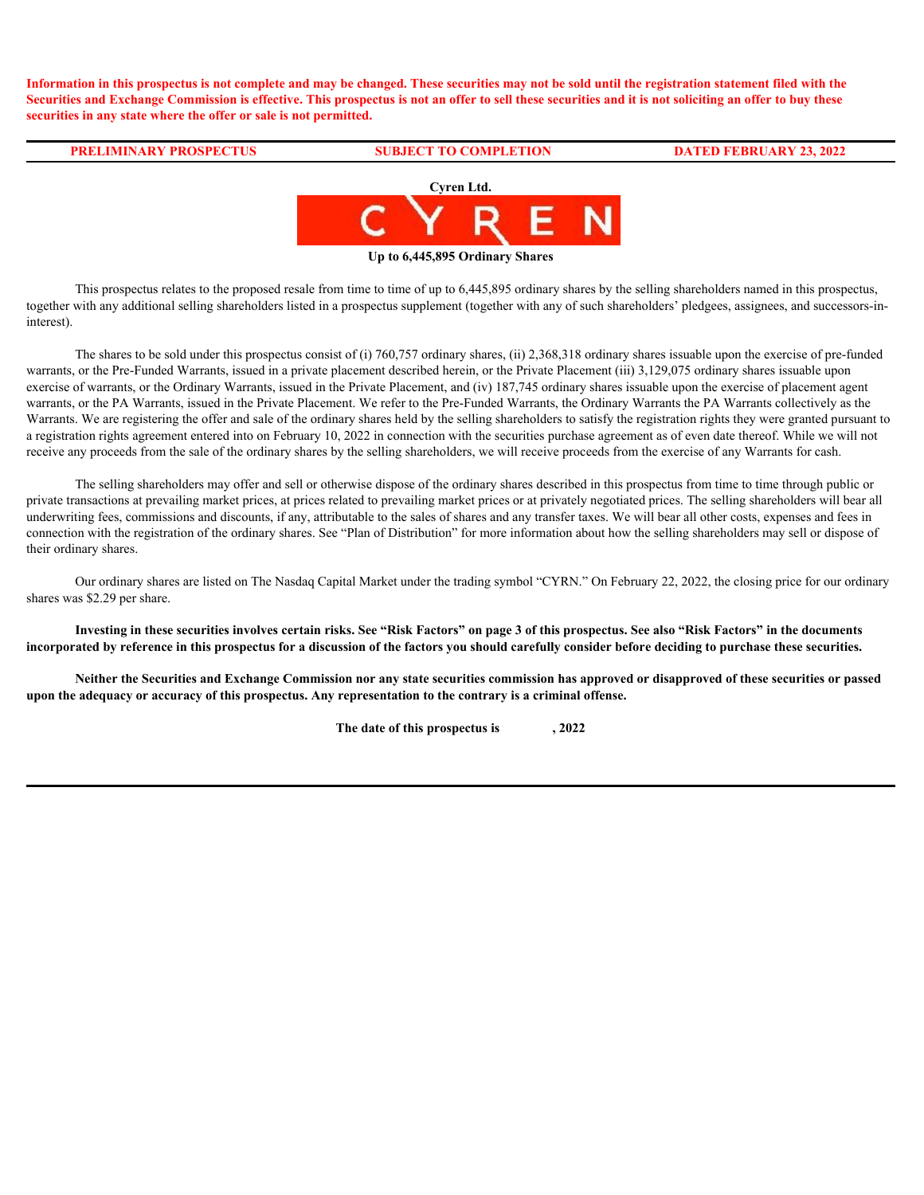**Information in this prospectus is not complete and may be changed. These securities may not be sold until the registration statement filed with the Securities and Exchange Commission is effective. This prospectus is not an offer to sell these securities and it is not soliciting an offer to buy these securities in any state where the offer or sale is not permitted.**

#### **PRELIMINARY PROSPECTUS SUBJECT TO COMPLETION DATED FEBRUARY 23, 2022**



**Up to 6,445,895 Ordinary Shares**

This prospectus relates to the proposed resale from time to time of up to 6,445,895 ordinary shares by the selling shareholders named in this prospectus, together with any additional selling shareholders listed in a prospectus supplement (together with any of such shareholders' pledgees, assignees, and successors-ininterest).

The shares to be sold under this prospectus consist of (i) 760,757 ordinary shares, (ii) 2,368,318 ordinary shares issuable upon the exercise of pre-funded warrants, or the Pre-Funded Warrants, issued in a private placement described herein, or the Private Placement (iii) 3,129,075 ordinary shares issuable upon exercise of warrants, or the Ordinary Warrants, issued in the Private Placement, and (iv) 187,745 ordinary shares issuable upon the exercise of placement agent warrants, or the PA Warrants, issued in the Private Placement. We refer to the Pre-Funded Warrants, the Ordinary Warrants the PA Warrants collectively as the Warrants. We are registering the offer and sale of the ordinary shares held by the selling shareholders to satisfy the registration rights they were granted pursuant to a registration rights agreement entered into on February 10, 2022 in connection with the securities purchase agreement as of even date thereof. While we will not receive any proceeds from the sale of the ordinary shares by the selling shareholders, we will receive proceeds from the exercise of any Warrants for cash.

The selling shareholders may offer and sell or otherwise dispose of the ordinary shares described in this prospectus from time to time through public or private transactions at prevailing market prices, at prices related to prevailing market prices or at privately negotiated prices. The selling shareholders will bear all underwriting fees, commissions and discounts, if any, attributable to the sales of shares and any transfer taxes. We will bear all other costs, expenses and fees in connection with the registration of the ordinary shares. See "Plan of Distribution" for more information about how the selling shareholders may sell or dispose of their ordinary shares.

Our ordinary shares are listed on The Nasdaq Capital Market under the trading symbol "CYRN." On February 22, 2022, the closing price for our ordinary shares was \$2.29 per share.

**Investing in these securities involves certain risks. See "Risk Factors" on page 3 of this prospectus. See also "Risk Factors" in the documents incorporated by reference in this prospectus for a discussion of the factors you should carefully consider before deciding to purchase these securities.**

**Neither the Securities and Exchange Commission nor any state securities commission has approved or disapproved of these securities or passed upon the adequacy or accuracy of this prospectus. Any representation to the contrary is a criminal offense.**

**The date of this prospectus is , 2022**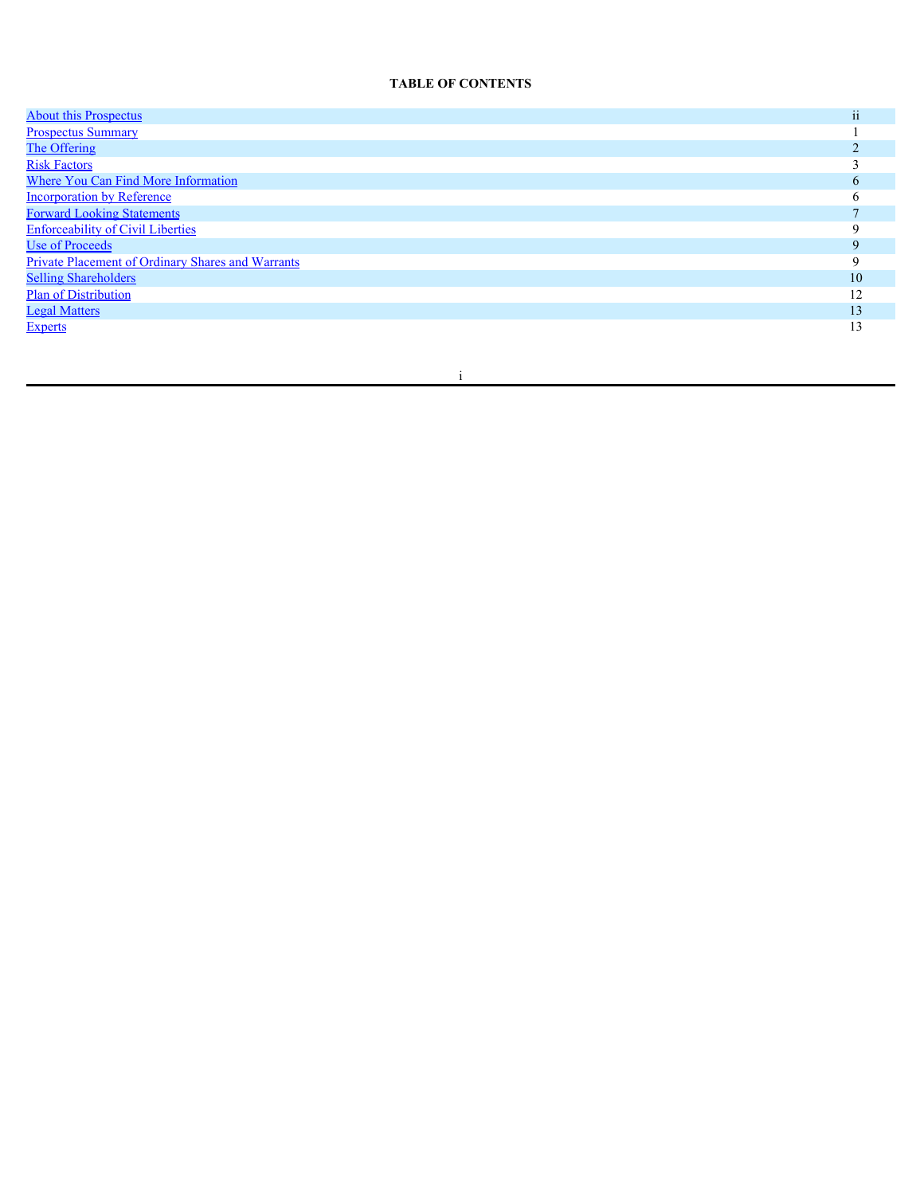## **TABLE OF CONTENTS**

| <b>About this Prospectus</b>                             | ii           |
|----------------------------------------------------------|--------------|
| <b>Prospectus Summary</b>                                |              |
| The Offering                                             |              |
| <b>Risk Factors</b>                                      |              |
| <b>Where You Can Find More Information</b>               | <sub>0</sub> |
| <b>Incorporation by Reference</b>                        |              |
| <b>Forward Looking Statements</b>                        |              |
| <b>Enforceability of Civil Liberties</b>                 |              |
| <b>Use of Proceeds</b>                                   |              |
| <b>Private Placement of Ordinary Shares and Warrants</b> |              |
| <b>Selling Shareholders</b>                              | 10           |
| <b>Plan of Distribution</b>                              | 12           |
| <b>Legal Matters</b>                                     | 13           |
| <b>Experts</b>                                           | 13           |
|                                                          |              |

i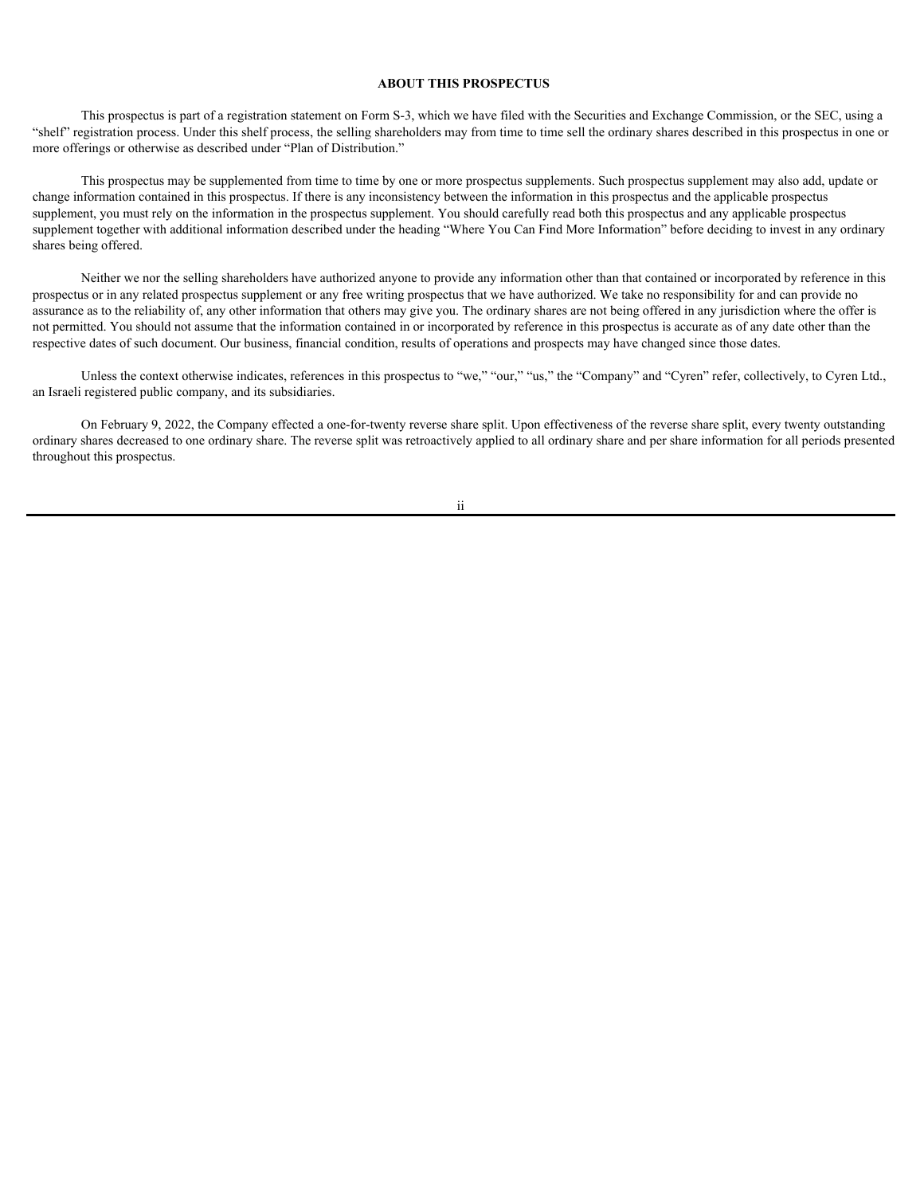#### <span id="page-4-0"></span>**ABOUT THIS PROSPECTUS**

This prospectus is part of a registration statement on Form S-3, which we have filed with the Securities and Exchange Commission, or the SEC, using a "shelf" registration process. Under this shelf process, the selling shareholders may from time to time sell the ordinary shares described in this prospectus in one or more offerings or otherwise as described under "Plan of Distribution."

This prospectus may be supplemented from time to time by one or more prospectus supplements. Such prospectus supplement may also add, update or change information contained in this prospectus. If there is any inconsistency between the information in this prospectus and the applicable prospectus supplement, you must rely on the information in the prospectus supplement. You should carefully read both this prospectus and any applicable prospectus supplement together with additional information described under the heading "Where You Can Find More Information" before deciding to invest in any ordinary shares being offered.

Neither we nor the selling shareholders have authorized anyone to provide any information other than that contained or incorporated by reference in this prospectus or in any related prospectus supplement or any free writing prospectus that we have authorized. We take no responsibility for and can provide no assurance as to the reliability of, any other information that others may give you. The ordinary shares are not being offered in any jurisdiction where the offer is not permitted. You should not assume that the information contained in or incorporated by reference in this prospectus is accurate as of any date other than the respective dates of such document. Our business, financial condition, results of operations and prospects may have changed since those dates.

Unless the context otherwise indicates, references in this prospectus to "we," "our," "us," the "Company" and "Cyren" refer, collectively, to Cyren Ltd., an Israeli registered public company, and its subsidiaries.

On February 9, 2022, the Company effected a one-for-twenty reverse share split. Upon effectiveness of the reverse share split, every twenty outstanding ordinary shares decreased to one ordinary share. The reverse split was retroactively applied to all ordinary share and per share information for all periods presented throughout this prospectus.

ii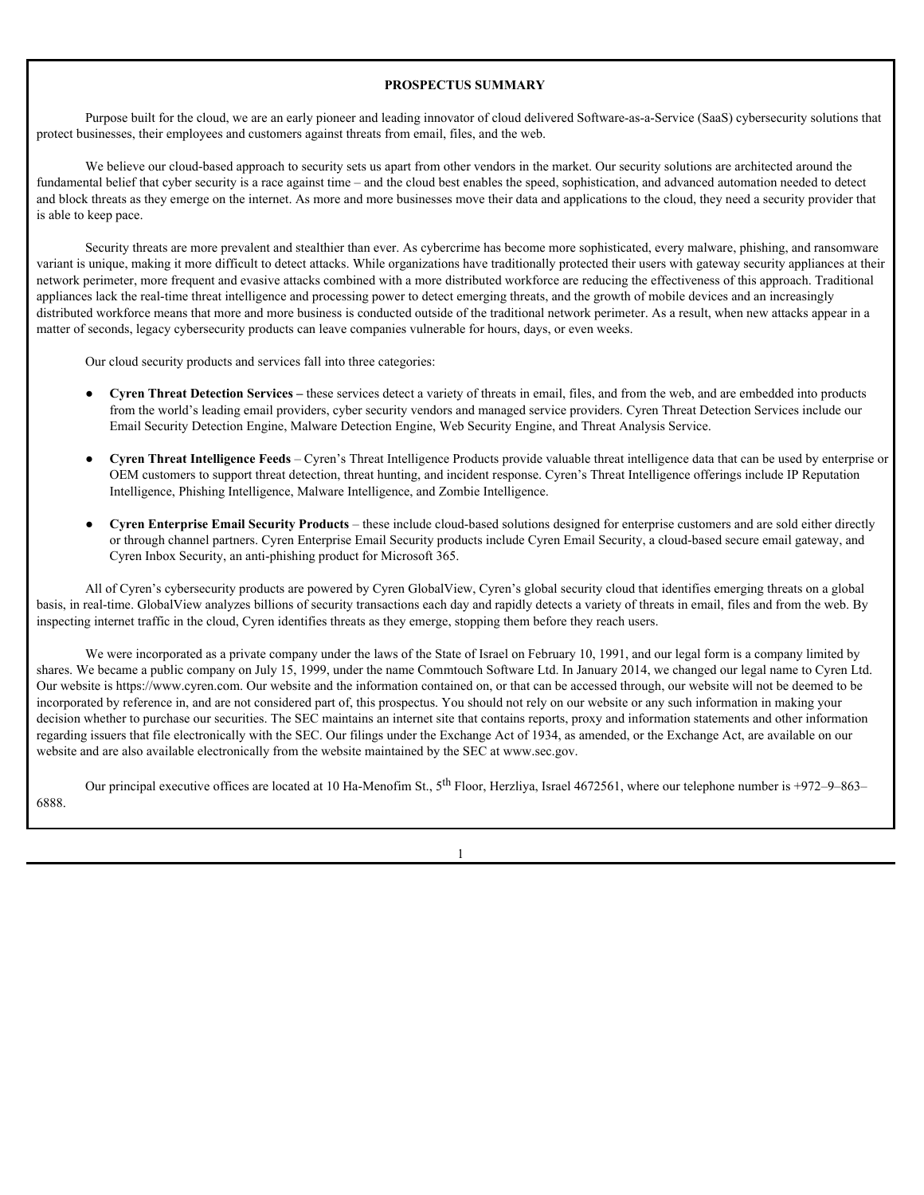#### <span id="page-5-0"></span>**PROSPECTUS SUMMARY**

Purpose built for the cloud, we are an early pioneer and leading innovator of cloud delivered Software-as-a-Service (SaaS) cybersecurity solutions that protect businesses, their employees and customers against threats from email, files, and the web.

We believe our cloud-based approach to security sets us apart from other vendors in the market. Our security solutions are architected around the fundamental belief that cyber security is a race against time – and the cloud best enables the speed, sophistication, and advanced automation needed to detect and block threats as they emerge on the internet. As more and more businesses move their data and applications to the cloud, they need a security provider that is able to keep pace.

Security threats are more prevalent and stealthier than ever. As cybercrime has become more sophisticated, every malware, phishing, and ransomware variant is unique, making it more difficult to detect attacks. While organizations have traditionally protected their users with gateway security appliances at their network perimeter, more frequent and evasive attacks combined with a more distributed workforce are reducing the effectiveness of this approach. Traditional appliances lack the real-time threat intelligence and processing power to detect emerging threats, and the growth of mobile devices and an increasingly distributed workforce means that more and more business is conducted outside of the traditional network perimeter. As a result, when new attacks appear in a matter of seconds, legacy cybersecurity products can leave companies vulnerable for hours, days, or even weeks.

Our cloud security products and services fall into three categories:

- **Cyren Threat Detection Services** these services detect a variety of threats in email, files, and from the web, and are embedded into products from the world's leading email providers, cyber security vendors and managed service providers. Cyren Threat Detection Services include our Email Security Detection Engine, Malware Detection Engine, Web Security Engine, and Threat Analysis Service.
- **Cyren Threat Intelligence Feeds** Cyren's Threat Intelligence Products provide valuable threat intelligence data that can be used by enterprise or OEM customers to support threat detection, threat hunting, and incident response. Cyren's Threat Intelligence offerings include IP Reputation Intelligence, Phishing Intelligence, Malware Intelligence, and Zombie Intelligence.
- **Cyren Enterprise Email Security Products** these include cloud-based solutions designed for enterprise customers and are sold either directly or through channel partners. Cyren Enterprise Email Security products include Cyren Email Security, a cloud-based secure email gateway, and Cyren Inbox Security, an anti-phishing product for Microsoft 365.

All of Cyren's cybersecurity products are powered by Cyren GlobalView, Cyren's global security cloud that identifies emerging threats on a global basis, in real-time. GlobalView analyzes billions of security transactions each day and rapidly detects a variety of threats in email, files and from the web. By inspecting internet traffic in the cloud, Cyren identifies threats as they emerge, stopping them before they reach users.

We were incorporated as a private company under the laws of the State of Israel on February 10, 1991, and our legal form is a company limited by shares. We became a public company on July 15, 1999, under the name Commtouch Software Ltd. In January 2014, we changed our legal name to Cyren Ltd. Our website is https://www.cyren.com. Our website and the information contained on, or that can be accessed through, our website will not be deemed to be incorporated by reference in, and are not considered part of, this prospectus. You should not rely on our website or any such information in making your decision whether to purchase our securities. The SEC maintains an internet site that contains reports, proxy and information statements and other information regarding issuers that file electronically with the SEC. Our filings under the Exchange Act of 1934, as amended, or the Exchange Act, are available on our website and are also available electronically from the website maintained by the SEC at www.sec.gov.

Our principal executive offices are located at 10 Ha-Menofim St.,  $5^{th}$  Floor, Herzliya, Israel 4672561, where our telephone number is +972–9–863– 6888.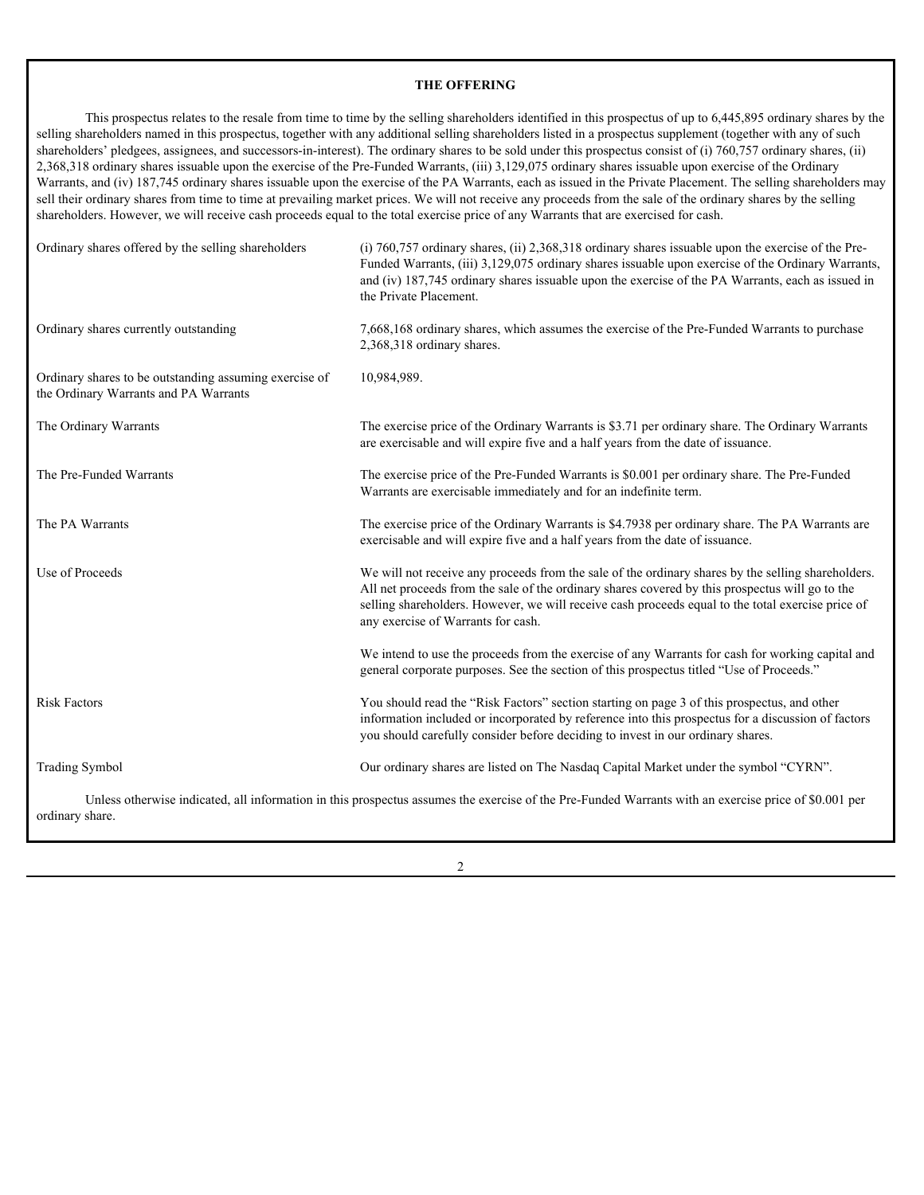## <span id="page-6-0"></span>**THE OFFERING**

This prospectus relates to the resale from time to time by the selling shareholders identified in this prospectus of up to 6,445,895 ordinary shares by the selling shareholders named in this prospectus, together with any additional selling shareholders listed in a prospectus supplement (together with any of such shareholders' pledgees, assignees, and successors-in-interest). The ordinary shares to be sold under this prospectus consist of (i) 760,757 ordinary shares, (ii) 2,368,318 ordinary shares issuable upon the exercise of the Pre-Funded Warrants, (iii) 3,129,075 ordinary shares issuable upon exercise of the Ordinary Warrants, and (iv) 187,745 ordinary shares issuable upon the exercise of the PA Warrants, each as issued in the Private Placement. The selling shareholders may sell their ordinary shares from time to time at prevailing market prices. We will not receive any proceeds from the sale of the ordinary shares by the selling shareholders. However, we will receive cash proceeds equal to the total exercise price of any Warrants that are exercised for cash.

| Ordinary shares offered by the selling shareholders                                             | (i) $760,757$ ordinary shares, (ii) $2,368,318$ ordinary shares is suable upon the exercise of the Pre-<br>Funded Warrants, (iii) 3,129,075 ordinary shares issuable upon exercise of the Ordinary Warrants,<br>and (iv) 187,745 ordinary shares issuable upon the exercise of the PA Warrants, each as issued in<br>the Private Placement.      |  |
|-------------------------------------------------------------------------------------------------|--------------------------------------------------------------------------------------------------------------------------------------------------------------------------------------------------------------------------------------------------------------------------------------------------------------------------------------------------|--|
| Ordinary shares currently outstanding                                                           | 7,668,168 ordinary shares, which assumes the exercise of the Pre-Funded Warrants to purchase<br>2,368,318 ordinary shares.                                                                                                                                                                                                                       |  |
| Ordinary shares to be outstanding assuming exercise of<br>the Ordinary Warrants and PA Warrants | 10,984,989.                                                                                                                                                                                                                                                                                                                                      |  |
| The Ordinary Warrants                                                                           | The exercise price of the Ordinary Warrants is \$3.71 per ordinary share. The Ordinary Warrants<br>are exercisable and will expire five and a half years from the date of issuance.                                                                                                                                                              |  |
| The Pre-Funded Warrants                                                                         | The exercise price of the Pre-Funded Warrants is \$0.001 per ordinary share. The Pre-Funded<br>Warrants are exercisable immediately and for an indefinite term.                                                                                                                                                                                  |  |
| The PA Warrants                                                                                 | The exercise price of the Ordinary Warrants is \$4.7938 per ordinary share. The PA Warrants are<br>exercisable and will expire five and a half years from the date of issuance.                                                                                                                                                                  |  |
| Use of Proceeds                                                                                 | We will not receive any proceeds from the sale of the ordinary shares by the selling shareholders.<br>All net proceeds from the sale of the ordinary shares covered by this prospectus will go to the<br>selling shareholders. However, we will receive cash proceeds equal to the total exercise price of<br>any exercise of Warrants for cash. |  |
|                                                                                                 | We intend to use the proceeds from the exercise of any Warrants for cash for working capital and<br>general corporate purposes. See the section of this prospectus titled "Use of Proceeds."                                                                                                                                                     |  |
| <b>Risk Factors</b>                                                                             | You should read the "Risk Factors" section starting on page 3 of this prospectus, and other<br>information included or incorporated by reference into this prospectus for a discussion of factors<br>you should carefully consider before deciding to invest in our ordinary shares.                                                             |  |
| <b>Trading Symbol</b>                                                                           | Our ordinary shares are listed on The Nasdaq Capital Market under the symbol "CYRN".                                                                                                                                                                                                                                                             |  |
| ordinary share.                                                                                 | Unless otherwise indicated, all information in this prospectus assumes the exercise of the Pre-Funded Warrants with an exercise price of \$0.001 per                                                                                                                                                                                             |  |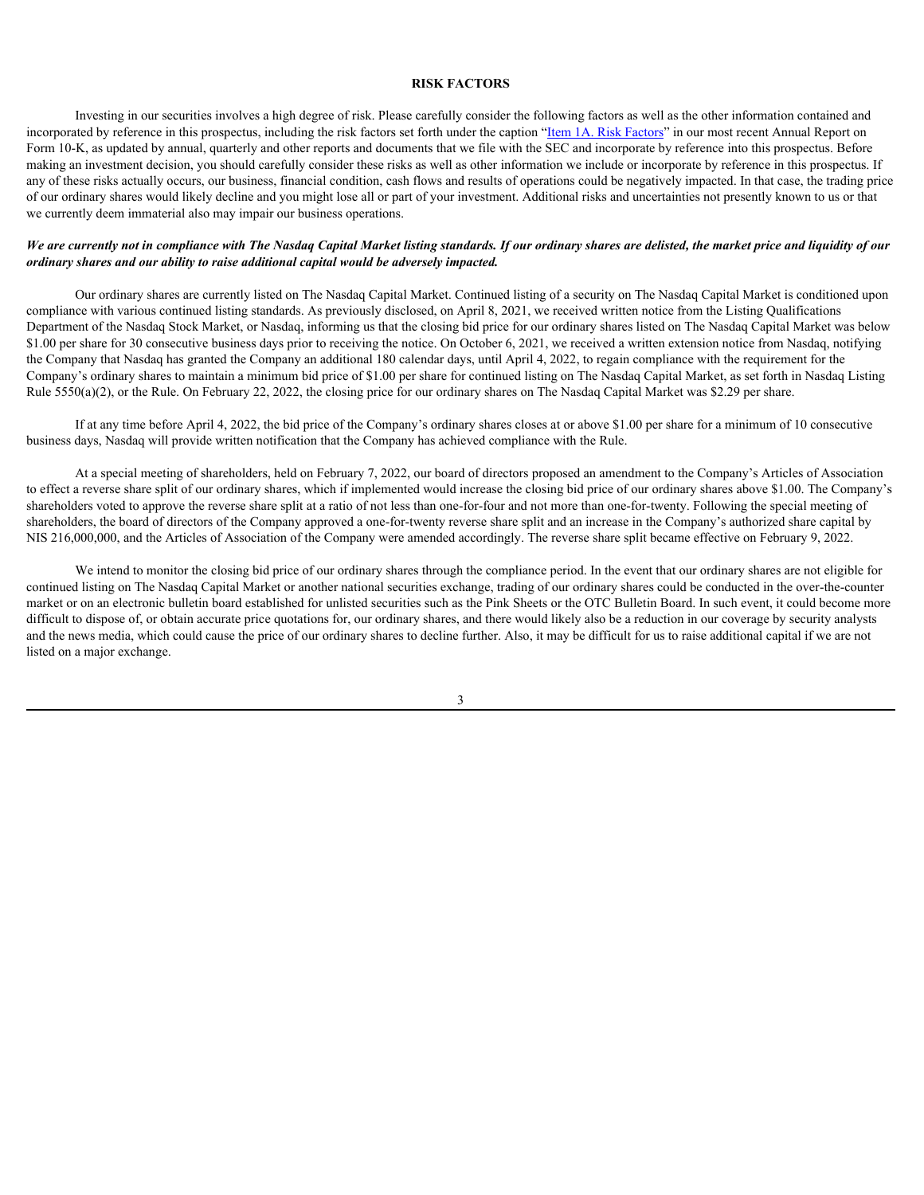#### <span id="page-7-0"></span>**RISK FACTORS**

Investing in our securities involves a high degree of risk. Please carefully consider the following factors as well as the other information contained and incorporated by reference in this prospectus, including the risk factors set forth under the caption "[Item 1A. Risk Factors"](https://content.edgar-online.com/ExternalLink/EDGAR/0001213900-21-018692.html?hash=99e59acca5cf31abe2cc68bcfcd776ff19b60c30bf9f1e43af25f00729cf47d1&dest=f10k2020_cyrenltd_htm_a_003) in our most recent Annual Report on Form 10-K, as updated by annual, quarterly and other reports and documents that we file with the SEC and incorporate by reference into this prospectus. Before making an investment decision, you should carefully consider these risks as well as other information we include or incorporate by reference in this prospectus. If any of these risks actually occurs, our business, financial condition, cash flows and results of operations could be negatively impacted. In that case, the trading price of our ordinary shares would likely decline and you might lose all or part of your investment. Additional risks and uncertainties not presently known to us or that we currently deem immaterial also may impair our business operations.

#### *We are currently not in compliance with The Nasdaq Capital Market listing standards. If our ordinary shares are delisted, the market price and liquidity of our ordinary shares and our ability to raise additional capital would be adversely impacted.*

Our ordinary shares are currently listed on The Nasdaq Capital Market. Continued listing of a security on The Nasdaq Capital Market is conditioned upon compliance with various continued listing standards. As previously disclosed, on April 8, 2021, we received written notice from the Listing Qualifications Department of the Nasdaq Stock Market, or Nasdaq, informing us that the closing bid price for our ordinary shares listed on The Nasdaq Capital Market was below \$1.00 per share for 30 consecutive business days prior to receiving the notice. On October 6, 2021, we received a written extension notice from Nasdaq, notifying the Company that Nasdaq has granted the Company an additional 180 calendar days, until April 4, 2022, to regain compliance with the requirement for the Company's ordinary shares to maintain a minimum bid price of \$1.00 per share for continued listing on The Nasdaq Capital Market, as set forth in Nasdaq Listing Rule 5550(a)(2), or the Rule. On February 22, 2022, the closing price for our ordinary shares on The Nasdaq Capital Market was \$2.29 per share.

If at any time before April 4, 2022, the bid price of the Company's ordinary shares closes at or above \$1.00 per share for a minimum of 10 consecutive business days, Nasdaq will provide written notification that the Company has achieved compliance with the Rule.

At a special meeting of shareholders, held on February 7, 2022, our board of directors proposed an amendment to the Company's Articles of Association to effect a reverse share split of our ordinary shares, which if implemented would increase the closing bid price of our ordinary shares above \$1.00. The Company's shareholders voted to approve the reverse share split at a ratio of not less than one-for-four and not more than one-for-twenty. Following the special meeting of shareholders, the board of directors of the Company approved a one-for-twenty reverse share split and an increase in the Company's authorized share capital by NIS 216,000,000, and the Articles of Association of the Company were amended accordingly. The reverse share split became effective on February 9, 2022.

We intend to monitor the closing bid price of our ordinary shares through the compliance period. In the event that our ordinary shares are not eligible for continued listing on The Nasdaq Capital Market or another national securities exchange, trading of our ordinary shares could be conducted in the over-the-counter market or on an electronic bulletin board established for unlisted securities such as the Pink Sheets or the OTC Bulletin Board. In such event, it could become more difficult to dispose of, or obtain accurate price quotations for, our ordinary shares, and there would likely also be a reduction in our coverage by security analysts and the news media, which could cause the price of our ordinary shares to decline further. Also, it may be difficult for us to raise additional capital if we are not listed on a major exchange.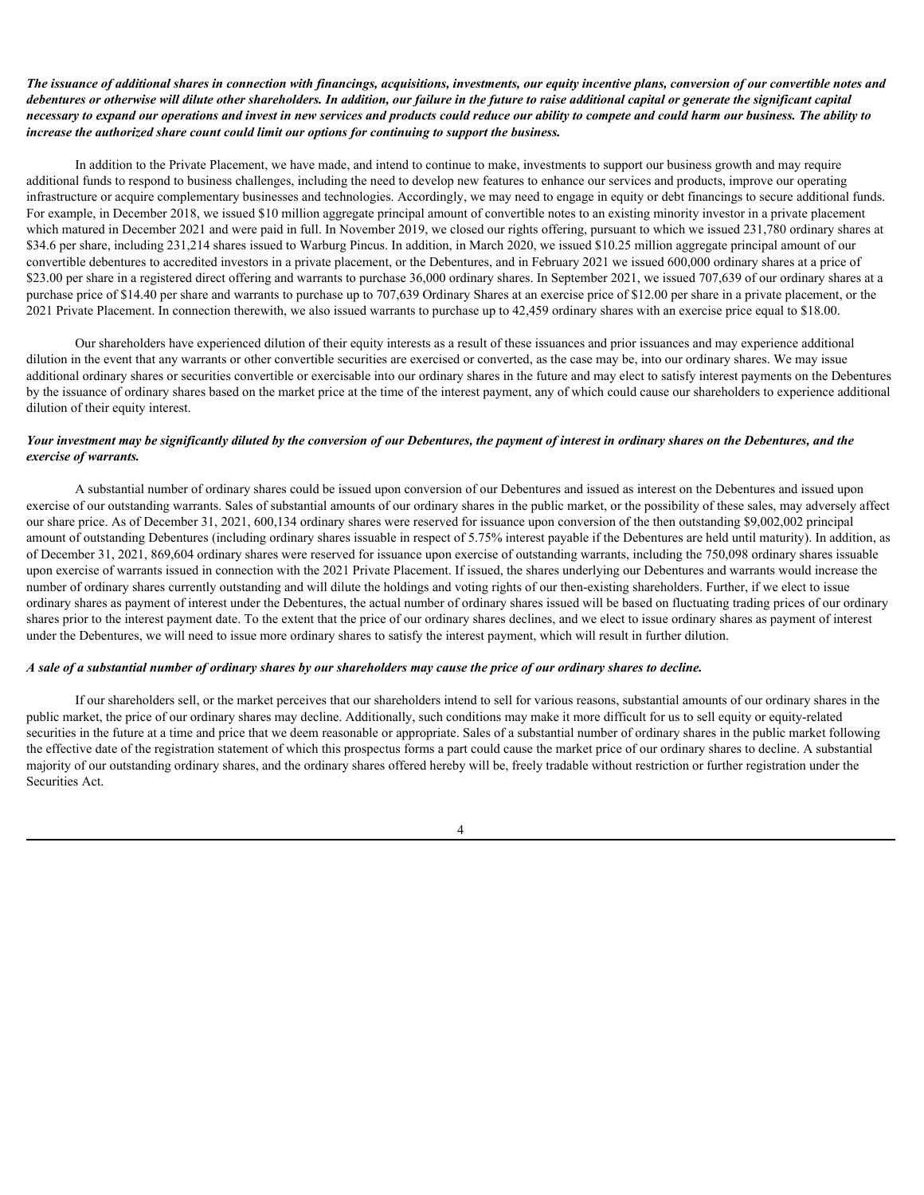#### *The issuance of additional shares in connection with financings, acquisitions, investments, our equity incentive plans, conversion of our convertible notes and debentures or otherwise will dilute other shareholders. In addition, our failure in the future to raise additional capital or generate the significant capital necessary to expand our operations and invest in new services and products could reduce our ability to compete and could harm our business. The ability to increase the authorized share count could limit our options for continuing to support the business.*

In addition to the Private Placement, we have made, and intend to continue to make, investments to support our business growth and may require additional funds to respond to business challenges, including the need to develop new features to enhance our services and products, improve our operating infrastructure or acquire complementary businesses and technologies. Accordingly, we may need to engage in equity or debt financings to secure additional funds. For example, in December 2018, we issued \$10 million aggregate principal amount of convertible notes to an existing minority investor in a private placement which matured in December 2021 and were paid in full. In November 2019, we closed our rights offering, pursuant to which we issued 231,780 ordinary shares at \$34.6 per share, including 231,214 shares issued to Warburg Pincus. In addition, in March 2020, we issued \$10.25 million aggregate principal amount of our convertible debentures to accredited investors in a private placement, or the Debentures, and in February 2021 we issued 600,000 ordinary shares at a price of \$23.00 per share in a registered direct offering and warrants to purchase 36,000 ordinary shares. In September 2021, we issued 707,639 of our ordinary shares at a purchase price of \$14.40 per share and warrants to purchase up to 707,639 Ordinary Shares at an exercise price of \$12.00 per share in a private placement, or the 2021 Private Placement. In connection therewith, we also issued warrants to purchase up to 42,459 ordinary shares with an exercise price equal to \$18.00.

Our shareholders have experienced dilution of their equity interests as a result of these issuances and prior issuances and may experience additional dilution in the event that any warrants or other convertible securities are exercised or converted, as the case may be, into our ordinary shares. We may issue additional ordinary shares or securities convertible or exercisable into our ordinary shares in the future and may elect to satisfy interest payments on the Debentures by the issuance of ordinary shares based on the market price at the time of the interest payment, any of which could cause our shareholders to experience additional dilution of their equity interest.

#### *Your investment may be significantly diluted by the conversion of our Debentures, the payment of interest in ordinary shares on the Debentures, and the exercise of warrants.*

A substantial number of ordinary shares could be issued upon conversion of our Debentures and issued as interest on the Debentures and issued upon exercise of our outstanding warrants. Sales of substantial amounts of our ordinary shares in the public market, or the possibility of these sales, may adversely affect our share price. As of December 31, 2021, 600,134 ordinary shares were reserved for issuance upon conversion of the then outstanding \$9,002,002 principal amount of outstanding Debentures (including ordinary shares issuable in respect of 5.75% interest payable if the Debentures are held until maturity). In addition, as of December 31, 2021, 869,604 ordinary shares were reserved for issuance upon exercise of outstanding warrants, including the 750,098 ordinary shares issuable upon exercise of warrants issued in connection with the 2021 Private Placement. If issued, the shares underlying our Debentures and warrants would increase the number of ordinary shares currently outstanding and will dilute the holdings and voting rights of our then-existing shareholders. Further, if we elect to issue ordinary shares as payment of interest under the Debentures, the actual number of ordinary shares issued will be based on fluctuating trading prices of our ordinary shares prior to the interest payment date. To the extent that the price of our ordinary shares declines, and we elect to issue ordinary shares as payment of interest under the Debentures, we will need to issue more ordinary shares to satisfy the interest payment, which will result in further dilution.

#### *A sale of a substantial number of ordinary shares by our shareholders may cause the price of our ordinary shares to decline.*

If our shareholders sell, or the market perceives that our shareholders intend to sell for various reasons, substantial amounts of our ordinary shares in the public market, the price of our ordinary shares may decline. Additionally, such conditions may make it more difficult for us to sell equity or equity-related securities in the future at a time and price that we deem reasonable or appropriate. Sales of a substantial number of ordinary shares in the public market following the effective date of the registration statement of which this prospectus forms a part could cause the market price of our ordinary shares to decline. A substantial majority of our outstanding ordinary shares, and the ordinary shares offered hereby will be, freely tradable without restriction or further registration under the Securities Act.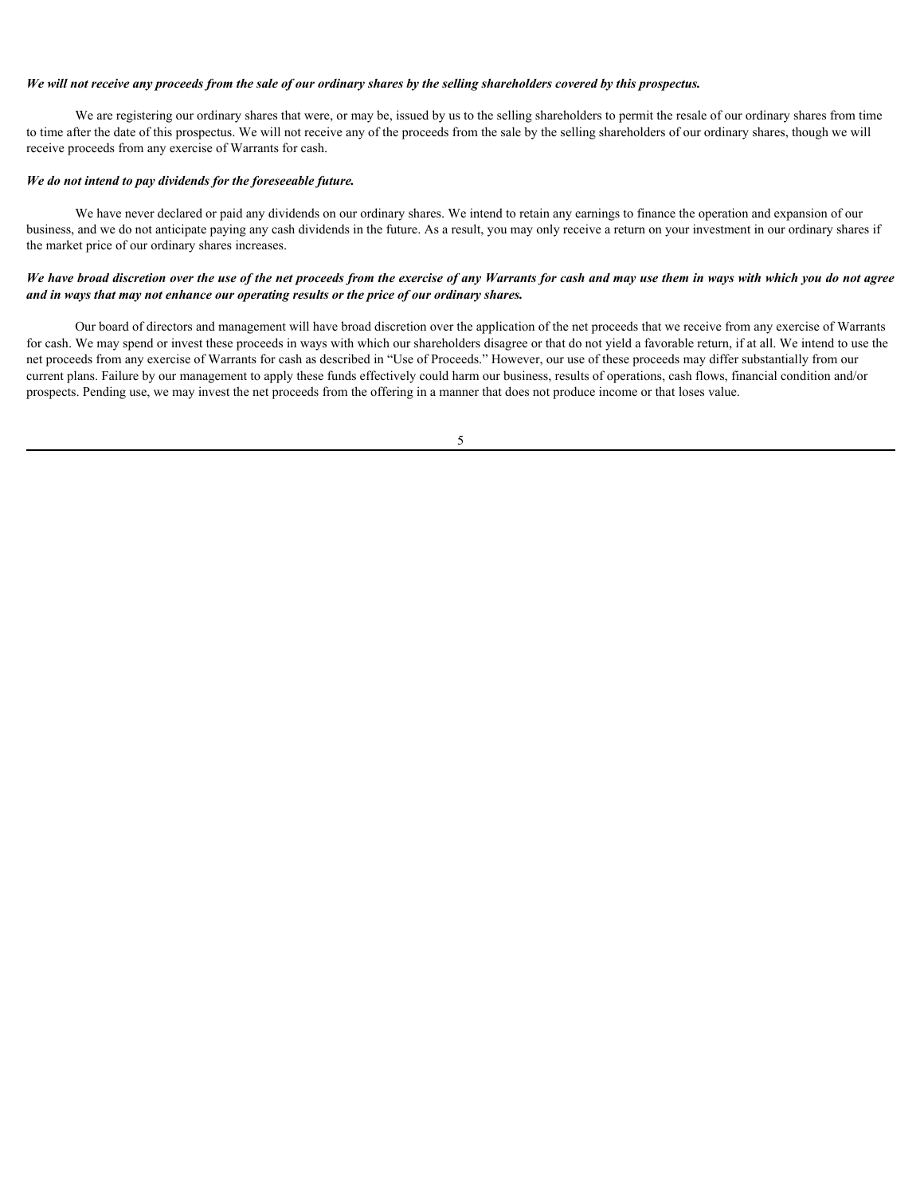#### *We will not receive any proceeds from the sale of our ordinary shares by the selling shareholders covered by this prospectus.*

We are registering our ordinary shares that were, or may be, issued by us to the selling shareholders to permit the resale of our ordinary shares from time to time after the date of this prospectus. We will not receive any of the proceeds from the sale by the selling shareholders of our ordinary shares, though we will receive proceeds from any exercise of Warrants for cash.

#### *We do not intend to pay dividends for the foreseeable future.*

We have never declared or paid any dividends on our ordinary shares. We intend to retain any earnings to finance the operation and expansion of our business, and we do not anticipate paying any cash dividends in the future. As a result, you may only receive a return on your investment in our ordinary shares if the market price of our ordinary shares increases.

#### *We have broad discretion over the use of the net proceeds from the exercise of any Warrants for cash and may use them in ways with which you do not agree and in ways that may not enhance our operating results or the price of our ordinary shares.*

Our board of directors and management will have broad discretion over the application of the net proceeds that we receive from any exercise of Warrants for cash. We may spend or invest these proceeds in ways with which our shareholders disagree or that do not yield a favorable return, if at all. We intend to use the net proceeds from any exercise of Warrants for cash as described in "Use of Proceeds." However, our use of these proceeds may differ substantially from our current plans. Failure by our management to apply these funds effectively could harm our business, results of operations, cash flows, financial condition and/or prospects. Pending use, we may invest the net proceeds from the offering in a manner that does not produce income or that loses value.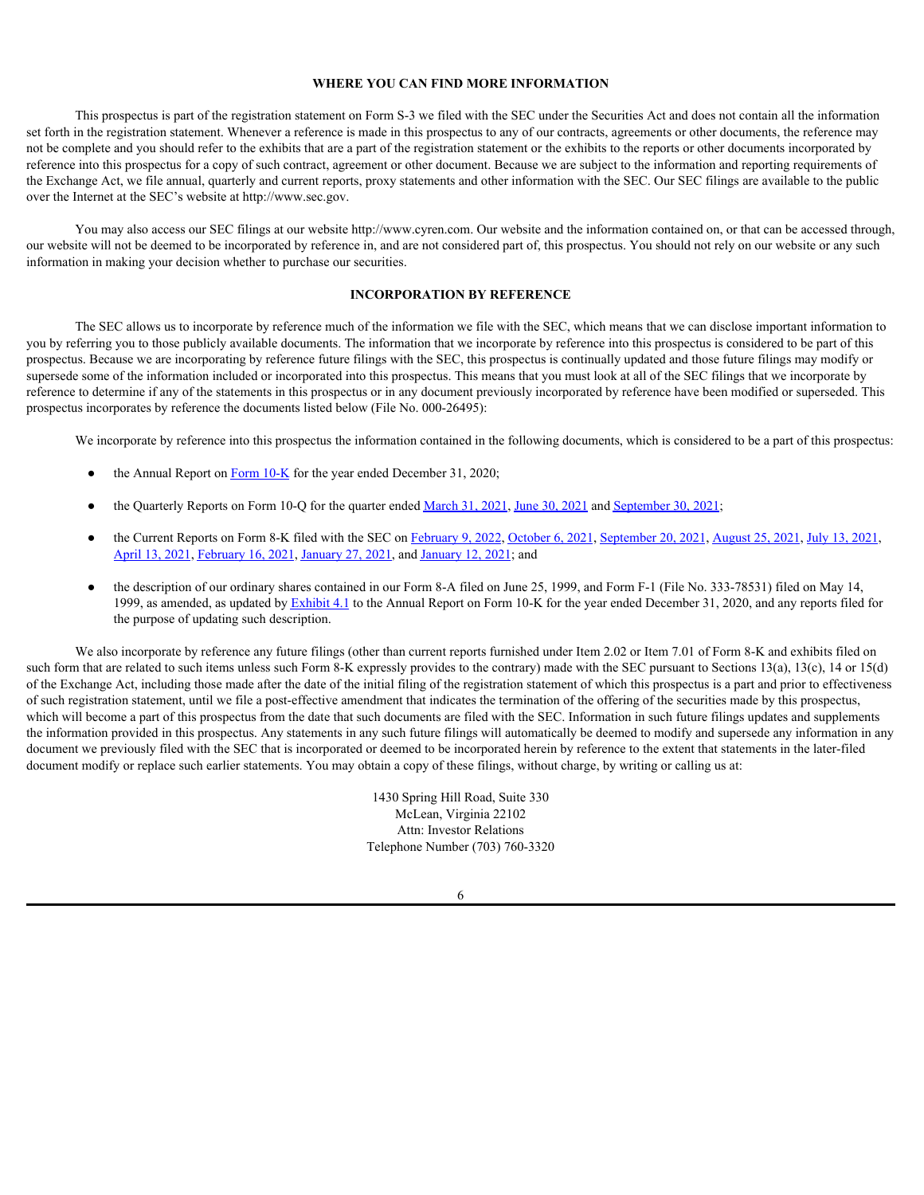#### <span id="page-10-0"></span>**WHERE YOU CAN FIND MORE INFORMATION**

This prospectus is part of the registration statement on Form S-3 we filed with the SEC under the Securities Act and does not contain all the information set forth in the registration statement. Whenever a reference is made in this prospectus to any of our contracts, agreements or other documents, the reference may not be complete and you should refer to the exhibits that are a part of the registration statement or the exhibits to the reports or other documents incorporated by reference into this prospectus for a copy of such contract, agreement or other document. Because we are subject to the information and reporting requirements of the Exchange Act, we file annual, quarterly and current reports, proxy statements and other information with the SEC. Our SEC filings are available to the public over the Internet at the SEC's website at http://www.sec.gov.

You may also access our SEC filings at our website http://www.cyren.com. Our website and the information contained on, or that can be accessed through, our website will not be deemed to be incorporated by reference in, and are not considered part of, this prospectus. You should not rely on our website or any such information in making your decision whether to purchase our securities.

#### <span id="page-10-1"></span>**INCORPORATION BY REFERENCE**

The SEC allows us to incorporate by reference much of the information we file with the SEC, which means that we can disclose important information to you by referring you to those publicly available documents. The information that we incorporate by reference into this prospectus is considered to be part of this prospectus. Because we are incorporating by reference future filings with the SEC, this prospectus is continually updated and those future filings may modify or supersede some of the information included or incorporated into this prospectus. This means that you must look at all of the SEC filings that we incorporate by reference to determine if any of the statements in this prospectus or in any document previously incorporated by reference have been modified or superseded. This prospectus incorporates by reference the documents listed below (File No. 000-26495):

We incorporate by reference into this prospectus the information contained in the following documents, which is considered to be a part of this prospectus:

- the Annual Report on [Form 10-K](https://content.edgar-online.com/ExternalLink/EDGAR/0001213900-21-018692.html?hash=99e59acca5cf31abe2cc68bcfcd776ff19b60c30bf9f1e43af25f00729cf47d1&dest=f10k2020_cyrenltd_htm) for the year ended December 31, 2020;
- the Quarterly Reports on Form 10-Q for the quarter ended [March 31, 2021,](https://content.edgar-online.com/ExternalLink/EDGAR/0001213900-21-027010.html?hash=bd64a3d0220f08b858643e1798b650c552c95fe4d2158031ed0dfce3f31de3a2&dest=f10q0321_cyrenltd_htm) [June 30, 2021](https://content.edgar-online.com/ExternalLink/EDGAR/0001213900-21-043003.html?hash=e8a8b99fcd78172f1cde8f009833a596cc1b5607a788dd68ca47ea2db7e0a712&dest=f10q0621_cyrenltd_htm) and [September 30, 2021;](https://content.edgar-online.com/ExternalLink/EDGAR/0001213900-21-059378.html?hash=b51bbe5fab944eaf1774800989aeaf21c083d7bb0f616463fb1afb04cde430b2&dest=f10q0921_cyrenltd_htm)
- the Current Reports on Form 8-K filed with the SEC on [February 9, 2022,](https://content.edgar-online.com/ExternalLink/EDGAR/0001213900-22-006047.html?hash=a63f1f6b65992348c047ef385e66c1ca95ac100072568e364e319d9b8f4436a9&dest=ea155111-8k_cyrenltd_htm) [October 6, 2021,](https://content.edgar-online.com/ExternalLink/EDGAR/0001213900-21-051596.html?hash=fc5703c81ae422e225719197905fc890af9305c7dbaeb6ef2015c2242641a39d&dest=ea148494-8k_cyren_htm) [September 20, 2021,](https://content.edgar-online.com/ExternalLink/EDGAR/0001213900-21-048778.html?hash=f6d44aa51e59265232057481d103795deb43e3728c7757964182a2258c3f5506&dest=ea147547-8k_cyrenltd_htm) [August 25, 2021,](https://content.edgar-online.com/ExternalLink/EDGAR/0001213900-21-044803.html?hash=f26d36f7b3dfeb17994a8f32e5e62fa98b2c8cb6db365c1859734e33d20cf63c&dest=ea146440-8k_cyrenltd_htm) [July 13, 2021,](https://content.edgar-online.com/ExternalLink/EDGAR/0001213900-21-036629.html?hash=b97198281d89f1d2306c323df6d81b961f175a52cf9e0eaefe40c68dfbecf195&dest=ea144104-8k_cyren_htm) [April 13, 2021,](https://content.edgar-online.com/ExternalLink/EDGAR/0001213900-21-021390.html?hash=78d0038eb830767b50e687dc7d7d2d1d4747128231328b51a4c897c15fb1a8ee&dest=ea139460_8k-cyren_htm) [February 16, 2021,](https://content.edgar-online.com/ExternalLink/EDGAR/0001213900-21-009341.html?hash=d6470df316edaec82b832ec451009b2a6f1af5172261e48b45c7d6cb154421e9&dest=ea135591-8k_cyrenltd_htm) [January 27, 2021,](https://content.edgar-online.com/ExternalLink/EDGAR/0001213900-21-004665.html?hash=296743b5e044c5bedb7be949d723037dc9c48e7fc783c5a773dd51eaed1208eb&dest=ea134055-8k_cyrenltd_htm) and [January 12, 2021;](https://content.edgar-online.com/ExternalLink/EDGAR/0001213900-21-001734.html?hash=3bd13f6ff272d5b008032b22594d0c3146e687ceccc81928959f759587c4bd67&dest=ea133209-8k_cyrenltd_htm) and
- the description of our ordinary shares contained in our Form 8-A filed on June 25, 1999, and Form F-1 (File No. 333-78531) filed on May 14, 1999, as amended, as updated by **Exhibit 4.1** to the Annual Report on Form 10-K for the year ended December 31, 2020, and any reports filed for the purpose of updating such description.

We also incorporate by reference any future filings (other than current reports furnished under Item 2.02 or Item 7.01 of Form 8-K and exhibits filed on such form that are related to such items unless such Form 8-K expressly provides to the contrary) made with the SEC pursuant to Sections 13(a), 13(c), 14 or 15(d) of the Exchange Act, including those made after the date of the initial filing of the registration statement of which this prospectus is a part and prior to effectiveness of such registration statement, until we file a post-effective amendment that indicates the termination of the offering of the securities made by this prospectus, which will become a part of this prospectus from the date that such documents are filed with the SEC. Information in such future filings updates and supplements the information provided in this prospectus. Any statements in any such future filings will automatically be deemed to modify and supersede any information in any document we previously filed with the SEC that is incorporated or deemed to be incorporated herein by reference to the extent that statements in the later-filed document modify or replace such earlier statements. You may obtain a copy of these filings, without charge, by writing or calling us at:

> 1430 Spring Hill Road, Suite 330 McLean, Virginia 22102 Attn: Investor Relations Telephone Number (703) 760-3320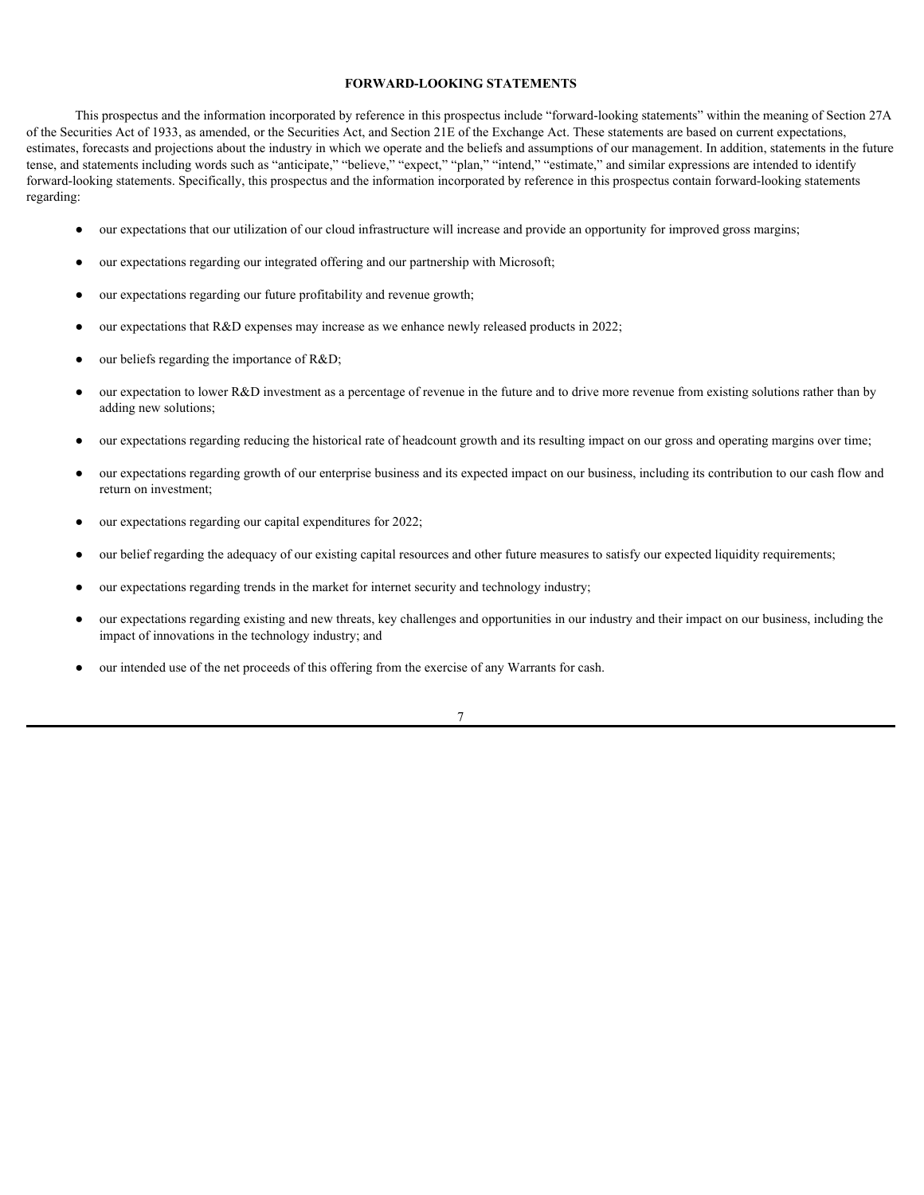#### <span id="page-11-0"></span>**FORWARD-LOOKING STATEMENTS**

This prospectus and the information incorporated by reference in this prospectus include "forward-looking statements" within the meaning of Section 27A of the Securities Act of 1933, as amended, or the Securities Act, and Section 21E of the Exchange Act. These statements are based on current expectations, estimates, forecasts and projections about the industry in which we operate and the beliefs and assumptions of our management. In addition, statements in the future tense, and statements including words such as "anticipate," "believe," "expect," "plan," "intend," "estimate," and similar expressions are intended to identify forward-looking statements. Specifically, this prospectus and the information incorporated by reference in this prospectus contain forward-looking statements regarding:<br>● our expectations that our utilization of our cloud infrastructure will increase and provide an opportunity for improved gross margins;

- 
- our expectations regarding our integrated offering and our partnership with Microsoft;
- our expectations regarding our future profitability and revenue growth;
- our expectations that  $R&D$  expenses may increase as we enhance newly released products in 2022;
- our beliefs regarding the importance of  $R&D$ ;
- our expectation to lower R&D investment as a percentage of revenue in the future and to drive more revenue from existing solutions rather than by adding new solutions;
- our expectations regarding reducing the historical rate of headcount growth and its resulting impact on our gross and operating margins over time;
- our expectations regarding growth of our enterprise business and its expected impact on our business, including its contribution to our cash flow and return on investment;
- our expectations regarding our capital expenditures for 2022;
- our belief regarding the adequacy of our existing capital resources and other future measures to satisfy our expected liquidity requirements;
- our expectations regarding trends in the market for internet security and technology industry;
- our expectations regarding existing and new threats, key challenges and opportunities in our industry and their impact on our business, including the impact of innovations in the technology industry; and
- our intended use of the net proceeds of this offering from the exercise of any Warrants for cash.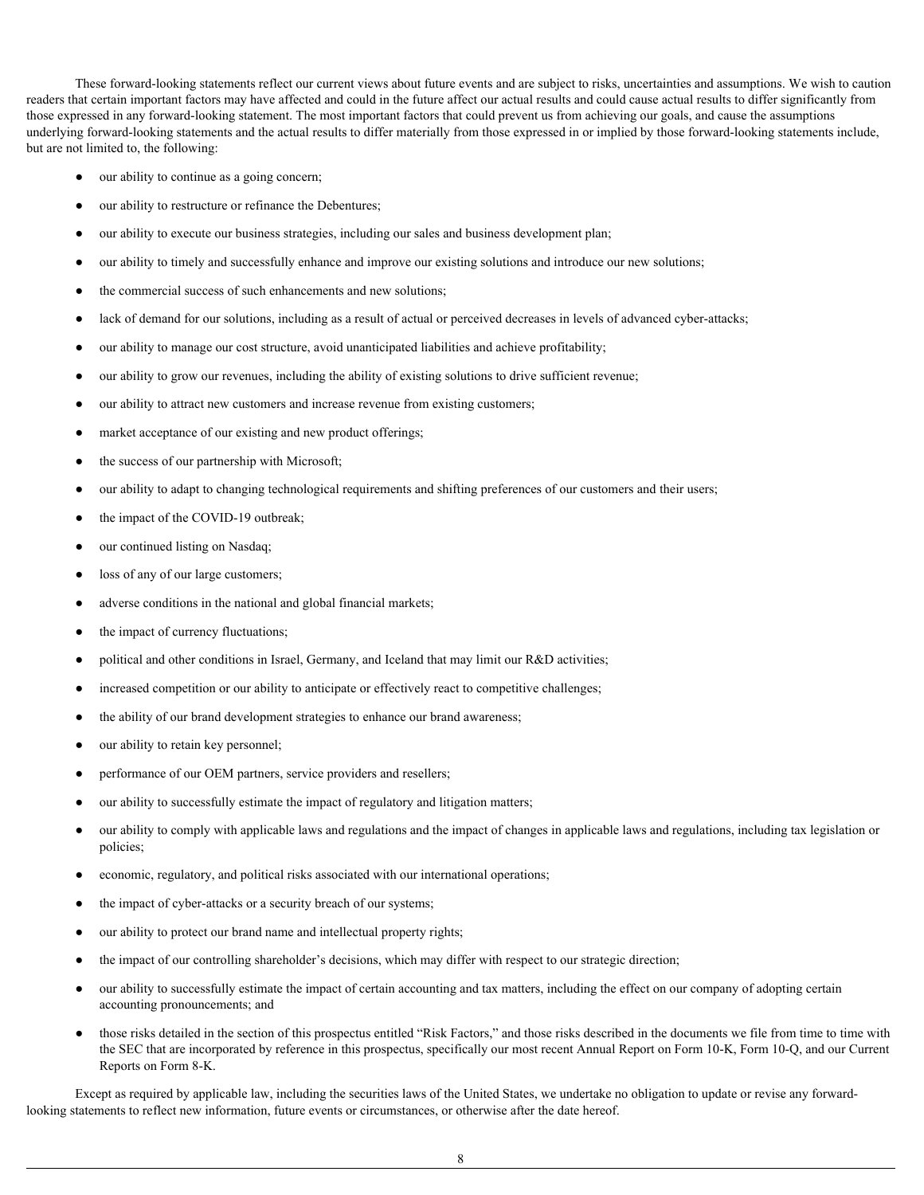These forward-looking statements reflect our current views about future events and are subject to risks, uncertainties and assumptions. We wish to caution readers that certain important factors may have affected and could in the future affect our actual results and could cause actual results to differ significantly from those expressed in any forward-looking statement. The most important factors that could prevent us from achieving our goals, and cause the assumptions underlying forward-looking statements and the actual results to differ materially from those expressed in or implied by those forward-looking statements include, but are not limited to, the following:

- our ability to continue as a going concern;
- our ability to restructure or refinance the Debentures;
- our ability to execute our business strategies, including our sales and business development plan;
- our ability to timely and successfully enhance and improve our existing solutions and introduce our new solutions;
- the commercial success of such enhancements and new solutions;
- lack of demand for our solutions, including as a result of actual or perceived decreases in levels of advanced cyber-attacks;
- our ability to manage our cost structure, avoid unanticipated liabilities and achieve profitability;
- our ability to grow our revenues, including the ability of existing solutions to drive sufficient revenue;
- our ability to attract new customers and increase revenue from existing customers;
- market acceptance of our existing and new product offerings;
- the success of our partnership with Microsoft;
- our ability to adapt to changing technological requirements and shifting preferences of our customers and their users;
- the impact of the COVID-19 outbreak;
- our continued listing on Nasdaq;
- loss of any of our large customers;
- adverse conditions in the national and global financial markets;
- the impact of currency fluctuations;
- political and other conditions in Israel, Germany, and Iceland that may limit our R&D activities;
- increased competition or our ability to anticipate or effectively react to competitive challenges;
- the ability of our brand development strategies to enhance our brand awareness;
- our ability to retain key personnel;
- performance of our OEM partners, service providers and resellers;
- our ability to successfully estimate the impact of regulatory and litigation matters;
- our ability to comply with applicable laws and regulations and the impact of changes in applicable laws and regulations, including tax legislation or policies;
- economic, regulatory, and political risks associated with our international operations;
- the impact of cyber-attacks or a security breach of our systems;
- our ability to protect our brand name and intellectual property rights;
- the impact of our controlling shareholder's decisions, which may differ with respect to our strategic direction;
- our ability to successfully estimate the impact of certain accounting and tax matters, including the effect on our company of adopting certain accounting pronouncements; and
- those risks detailed in the section of this prospectus entitled "Risk Factors," and those risks described in the documents we file from time to time with the SEC that are incorporated by reference in this prospectus, specifically our most recent Annual Report on Form 10-K, Form 10-Q, and our Current Reports on Form 8-K.

Except as required by applicable law, including the securities laws of the United States, we undertake no obligation to update or revise any forwardlooking statements to reflect new information, future events or circumstances, or otherwise after the date hereof.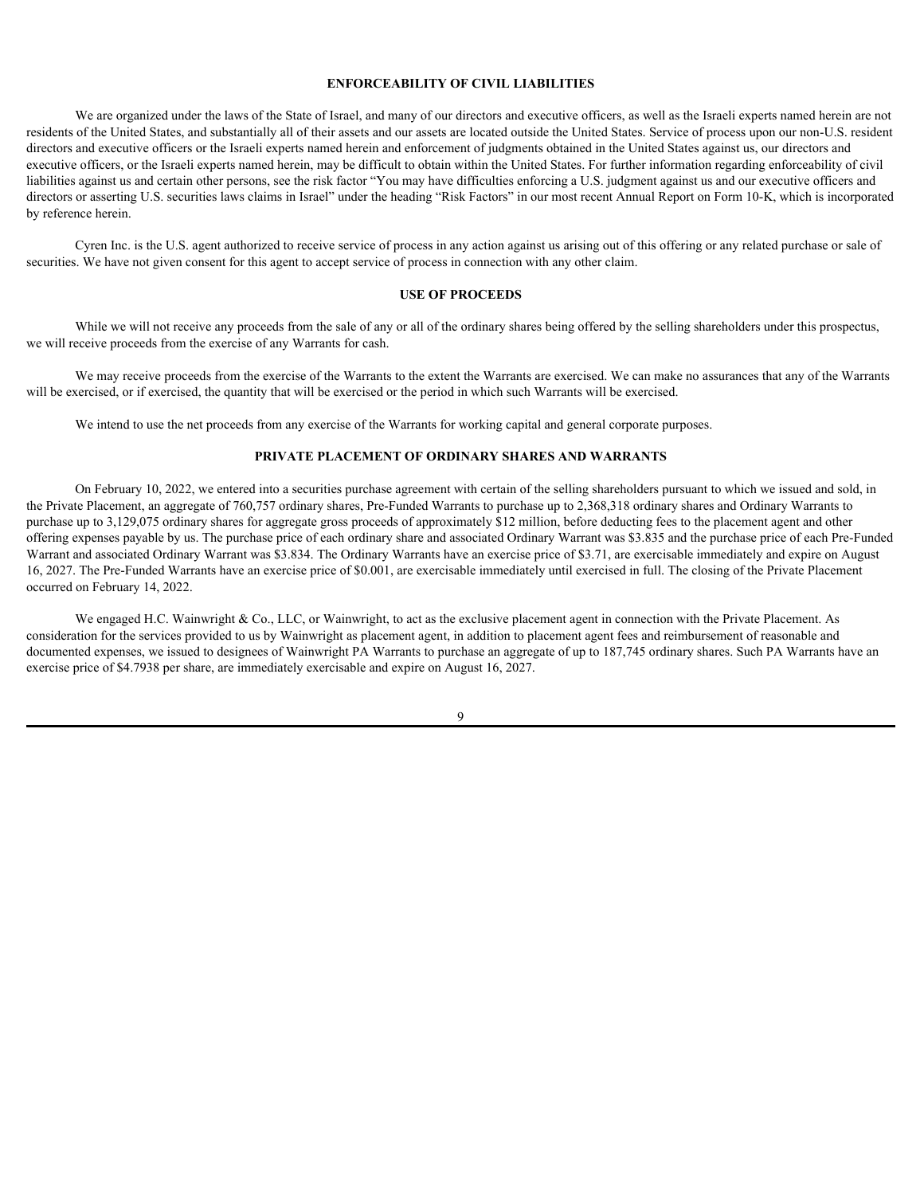#### <span id="page-14-0"></span>**ENFORCEABILITY OF CIVIL LIABILITIES**

We are organized under the laws of the State of Israel, and many of our directors and executive officers, as well as the Israeli experts named herein are not residents of the United States, and substantially all of their assets and our assets are located outside the United States. Service of process upon our non-U.S. resident directors and executive officers or the Israeli experts named herein and enforcement of judgments obtained in the United States against us, our directors and executive officers, or the Israeli experts named herein, may be difficult to obtain within the United States. For further information regarding enforceability of civil liabilities against us and certain other persons, see the risk factor "You may have difficulties enforcing a U.S. judgment against us and our executive officers and directors or asserting U.S. securities laws claims in Israel" under the heading "Risk Factors" in our most recent Annual Report on Form 10-K, which is incorporated by reference herein.

Cyren Inc. is the U.S. agent authorized to receive service of process in any action against us arising out of this offering or any related purchase or sale of securities. We have not given consent for this agent to accept service of process in connection with any other claim.

#### <span id="page-14-1"></span>**USE OF PROCEEDS**

While we will not receive any proceeds from the sale of any or all of the ordinary shares being offered by the selling shareholders under this prospectus, we will receive proceeds from the exercise of any Warrants for cash.

We may receive proceeds from the exercise of the Warrants to the extent the Warrants are exercised. We can make no assurances that any of the Warrants will be exercised, or if exercised, the quantity that will be exercised or the period in which such Warrants will be exercised.

We intend to use the net proceeds from any exercise of the Warrants for working capital and general corporate purposes.

#### <span id="page-14-2"></span>**PRIVATE PLACEMENT OF ORDINARY SHARES AND WARRANTS**

On February 10, 2022, we entered into a securities purchase agreement with certain of the selling shareholders pursuant to which we issued and sold, in the Private Placement, an aggregate of 760,757 ordinary shares, Pre-Funded Warrants to purchase up to 2,368,318 ordinary shares and Ordinary Warrants to purchase up to 3,129,075 ordinary shares for aggregate gross proceeds of approximately \$12 million, before deducting fees to the placement agent and other offering expenses payable by us. The purchase price of each ordinary share and associated Ordinary Warrant was \$3.835 and the purchase price of each Pre-Funded Warrant and associated Ordinary Warrant was \$3.834. The Ordinary Warrants have an exercise price of \$3.71, are exercisable immediately and expire on August 16, 2027. The Pre-Funded Warrants have an exercise price of \$0.001, are exercisable immediately until exercised in full. The closing of the Private Placement occurred on February 14, 2022.

We engaged H.C. Wainwright & Co., LLC, or Wainwright, to act as the exclusive placement agent in connection with the Private Placement. As consideration for the services provided to us by Wainwright as placement agent, in addition to placement agent fees and reimbursement of reasonable and documented expenses, we issued to designees of Wainwright PA Warrants to purchase an aggregate of up to 187,745 ordinary shares. Such PA Warrants have an exercise price of \$4.7938 per share, are immediately exercisable and expire on August 16, 2027.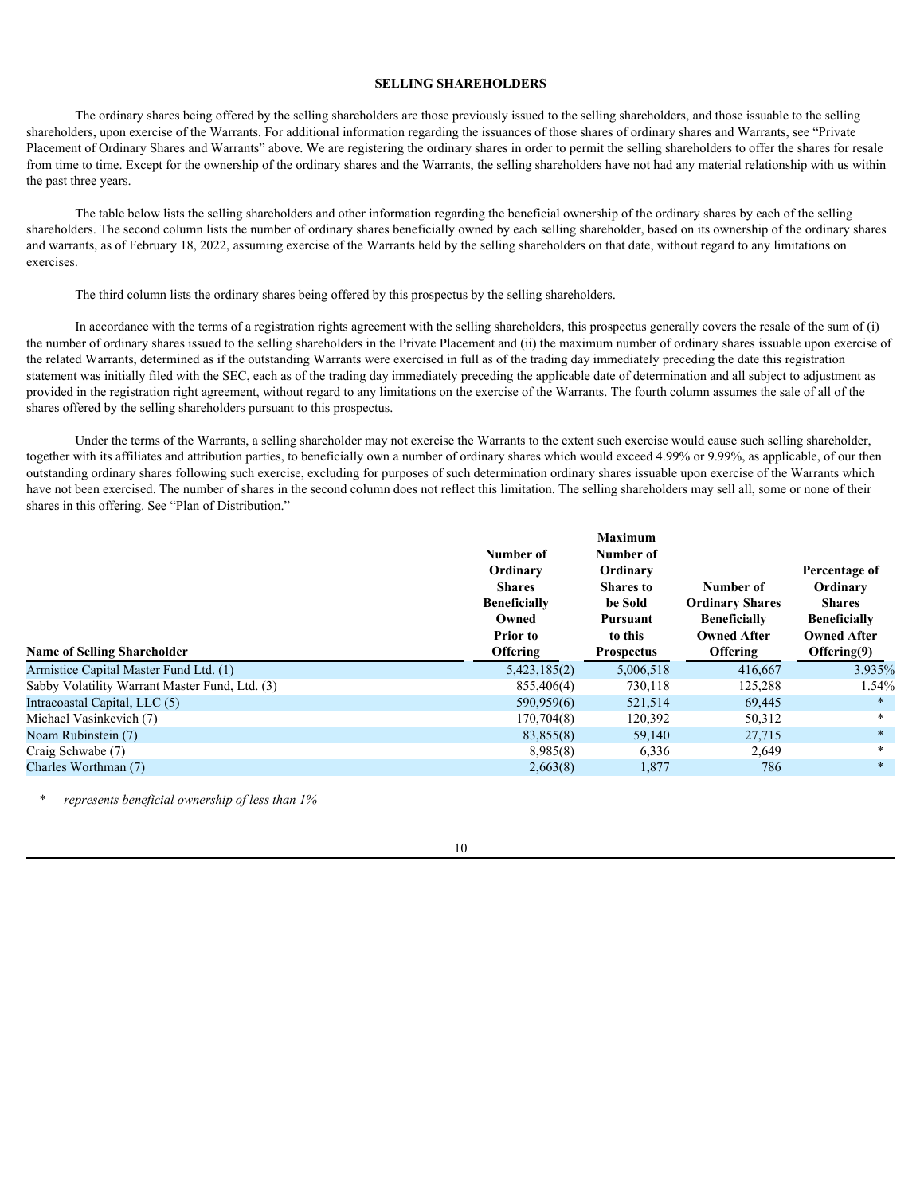#### <span id="page-15-0"></span>**SELLING SHAREHOLDERS**

The ordinary shares being offered by the selling shareholders are those previously issued to the selling shareholders, and those issuable to the selling shareholders, upon exercise of the Warrants. For additional information regarding the issuances of those shares of ordinary shares and Warrants, see "Private Placement of Ordinary Shares and Warrants" above. We are registering the ordinary shares in order to permit the selling shareholders to offer the shares for resale from time to time. Except for the ownership of the ordinary shares and the Warrants, the selling shareholders have not had any material relationship with us within the past three years.

The table below lists the selling shareholders and other information regarding the beneficial ownership of the ordinary shares by each of the selling shareholders. The second column lists the number of ordinary shares beneficially owned by each selling shareholder, based on its ownership of the ordinary shares and warrants, as of February 18, 2022, assuming exercise of the Warrants held by the selling shareholders on that date, without regard to any limitations on exercises.

The third column lists the ordinary shares being offered by this prospectus by the selling shareholders.

In accordance with the terms of a registration rights agreement with the selling shareholders, this prospectus generally covers the resale of the sum of (i) the number of ordinary shares issued to the selling shareholders in the Private Placement and (ii) the maximum number of ordinary shares issuable upon exercise of the related Warrants, determined as if the outstanding Warrants were exercised in full as of the trading day immediately preceding the date this registration statement was initially filed with the SEC, each as of the trading day immediately preceding the applicable date of determination and all subject to adjustment as provided in the registration right agreement, without regard to any limitations on the exercise of the Warrants. The fourth column assumes the sale of all of the shares offered by the selling shareholders pursuant to this prospectus.

Under the terms of the Warrants, a selling shareholder may not exercise the Warrants to the extent such exercise would cause such selling shareholder, together with its affiliates and attribution parties, to beneficially own a number of ordinary shares which would exceed 4.99% or 9.99%, as applicable, of our then outstanding ordinary shares following such exercise, excluding for purposes of such determination ordinary shares issuable upon exercise of the Warrants which have not been exercised. The number of shares in the second column does not reflect this limitation. The selling shareholders may sell all, some or none of their shares in this offering. See "Plan of Distribution."

|                                                | Number of<br>Ordinary<br><b>Shares</b><br><b>Beneficially</b><br>Owned<br><b>Prior to</b> | <b>Maximum</b><br>Number of<br>Ordinary<br><b>Shares to</b><br>be Sold<br>Pursuant<br>to this | Number of<br><b>Ordinary Shares</b><br><b>Beneficially</b><br><b>Owned After</b> | Percentage of<br>Ordinary<br>Shares<br><b>Beneficially</b><br><b>Owned After</b> |
|------------------------------------------------|-------------------------------------------------------------------------------------------|-----------------------------------------------------------------------------------------------|----------------------------------------------------------------------------------|----------------------------------------------------------------------------------|
| <b>Name of Selling Shareholder</b>             | Offering                                                                                  | <b>Prospectus</b>                                                                             | Offering                                                                         | Offering(9)                                                                      |
| Armistice Capital Master Fund Ltd. (1)         | 5,423,185(2)                                                                              | 5,006,518                                                                                     | 416,667                                                                          | 3.935%                                                                           |
| Sabby Volatility Warrant Master Fund, Ltd. (3) | 855,406(4)                                                                                | 730,118                                                                                       | 125,288                                                                          | 1.54%                                                                            |
| Intracoastal Capital, LLC (5)                  | 590,959(6)                                                                                | 521,514                                                                                       | 69,445                                                                           |                                                                                  |
| Michael Vasinkevich (7)                        | 170,704(8)                                                                                | 120,392                                                                                       | 50,312                                                                           |                                                                                  |
| Noam Rubinstein (7)                            | 83,855(8)                                                                                 | 59,140                                                                                        | 27,715                                                                           |                                                                                  |
| Craig Schwabe (7)                              | 8,985(8)                                                                                  | 6,336                                                                                         | 2,649                                                                            |                                                                                  |
| Charles Worthman (7)                           | 2,663(8)                                                                                  | 1,877                                                                                         | 786                                                                              |                                                                                  |

\* *represents beneficial ownership of less than 1%*

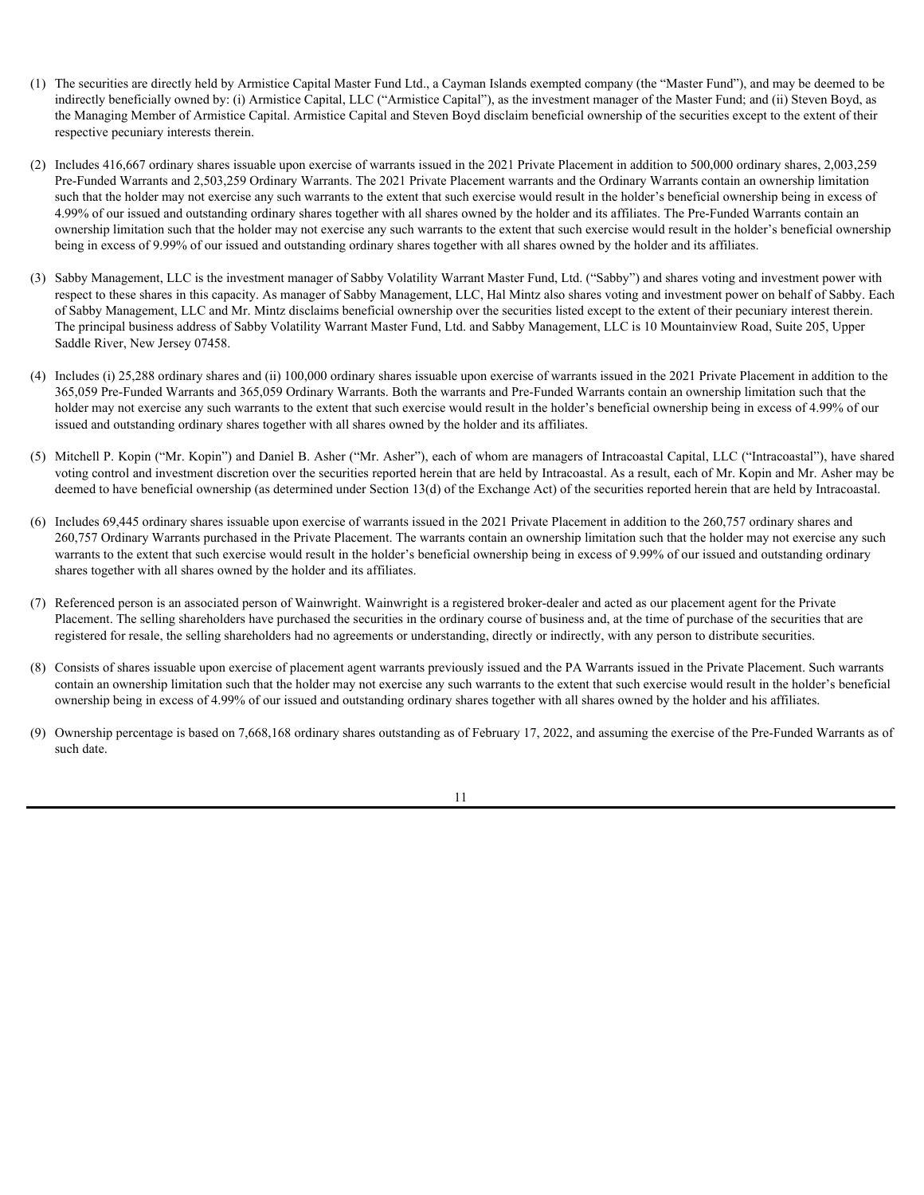- (1) The securities are directly held by Armistice Capital Master Fund Ltd., a Cayman Islands exempted company (the "Master Fund"), and may be deemed to be indirectly beneficially owned by: (i) Armistice Capital, LLC ("Armistice Capital"), as the investment manager of the Master Fund; and (ii) Steven Boyd, as the Managing Member of Armistice Capital. Armistice Capital and Steven Boyd disclaim beneficial ownership of the securities except to the extent of their respective pecuniary interests therein.
- (2) Includes 416,667 ordinary shares issuable upon exercise of warrants issued in the 2021 Private Placement in addition to 500,000 ordinary shares, 2,003,259 Pre-Funded Warrants and 2,503,259 Ordinary Warrants. The 2021 Private Placement warrants and the Ordinary Warrants contain an ownership limitation such that the holder may not exercise any such warrants to the extent that such exercise would result in the holder's beneficial ownership being in excess of 4.99% of our issued and outstanding ordinary shares together with all shares owned by the holder and its affiliates. The Pre-Funded Warrants contain an ownership limitation such that the holder may not exercise any such warrants to the extent that such exercise would result in the holder's beneficial ownership being in excess of 9.99% of our issued and outstanding ordinary shares together with all shares owned by the holder and its affiliates.
- (3) Sabby Management, LLC is the investment manager of Sabby Volatility Warrant Master Fund, Ltd. ("Sabby") and shares voting and investment power with respect to these shares in this capacity. As manager of Sabby Management, LLC, Hal Mintz also shares voting and investment power on behalf of Sabby. Each of Sabby Management, LLC and Mr. Mintz disclaims beneficial ownership over the securities listed except to the extent of their pecuniary interest therein. The principal business address of Sabby Volatility Warrant Master Fund, Ltd. and Sabby Management, LLC is 10 Mountainview Road, Suite 205, Upper Saddle River, New Jersey 07458.
- (4) Includes (i) 25,288 ordinary shares and (ii) 100,000 ordinary shares issuable upon exercise of warrants issued in the 2021 Private Placement in addition to the 365,059 Pre-Funded Warrants and 365,059 Ordinary Warrants. Both the warrants and Pre-Funded Warrants contain an ownership limitation such that the holder may not exercise any such warrants to the extent that such exercise would result in the holder's beneficial ownership being in excess of 4.99% of our issued and outstanding ordinary shares together with all shares owned by the holder and its affiliates.
- (5) Mitchell P. Kopin ("Mr. Kopin") and Daniel B. Asher ("Mr. Asher"), each of whom are managers of Intracoastal Capital, LLC ("Intracoastal"), have shared voting control and investment discretion over the securities reported herein that are held by Intracoastal. As a result, each of Mr. Kopin and Mr. Asher may be deemed to have beneficial ownership (as determined under Section 13(d) of the Exchange Act) of the securities reported herein that are held by Intracoastal.
- (6) Includes 69,445 ordinary shares issuable upon exercise of warrants issued in the 2021 Private Placement in addition to the 260,757 ordinary shares and 260,757 Ordinary Warrants purchased in the Private Placement. The warrants contain an ownership limitation such that the holder may not exercise any such warrants to the extent that such exercise would result in the holder's beneficial ownership being in excess of 9.99% of our issued and outstanding ordinary shares together with all shares owned by the holder and its affiliates.
- (7) Referenced person is an associated person of Wainwright. Wainwright is a registered broker-dealer and acted as our placement agent for the Private Placement. The selling shareholders have purchased the securities in the ordinary course of business and, at the time of purchase of the securities that are registered for resale, the selling shareholders had no agreements or understanding, directly or indirectly, with any person to distribute securities.
- (8) Consists of shares issuable upon exercise of placement agent warrants previously issued and the PA Warrants issued in the Private Placement. Such warrants contain an ownership limitation such that the holder may not exercise any such warrants to the extent that such exercise would result in the holder's beneficial ownership being in excess of 4.99% of our issued and outstanding ordinary shares together with all shares owned by the holder and his affiliates.
- (9) Ownership percentage is based on 7,668,168 ordinary shares outstanding as of February 17, 2022, and assuming the exercise of the Pre-Funded Warrants as of such date.

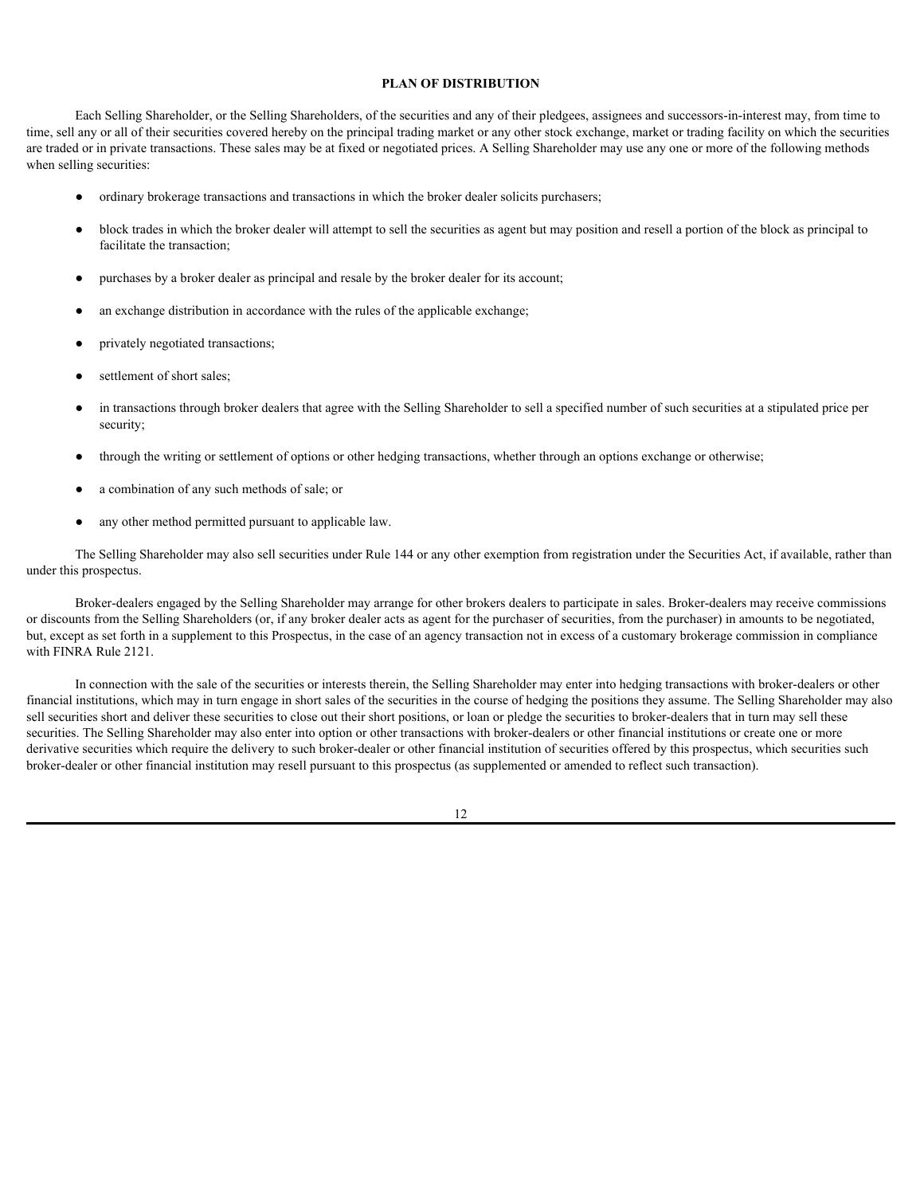#### <span id="page-17-0"></span>**PLAN OF DISTRIBUTION**

Each Selling Shareholder, or the Selling Shareholders, of the securities and any of their pledgees, assignees and successors-in-interest may, from time to time, sell any or all of their securities covered hereby on the principal trading market or any other stock exchange, market or trading facility on which the securities are traded or in private transactions. These sales may be at fixed or negotiated prices. A Selling Shareholder may use any one or more of the following methods when selling securities:

- ordinary brokerage transactions and transactions in which the broker dealer solicits purchasers;
- block trades in which the broker dealer will attempt to sell the securities as agent but may position and resell a portion of the block as principal to facilitate the transaction;
- purchases by a broker dealer as principal and resale by the broker dealer for its account;
- an exchange distribution in accordance with the rules of the applicable exchange;
- privately negotiated transactions;
- settlement of short sales;
- in transactions through broker dealers that agree with the Selling Shareholder to sell a specified number of such securities at a stipulated price per security;
- through the writing or settlement of options or other hedging transactions, whether through an options exchange or otherwise;
- a combination of any such methods of sale; or
- any other method permitted pursuant to applicable law.

The Selling Shareholder may also sell securities under Rule 144 or any other exemption from registration under the Securities Act, if available, rather than under this prospectus.

Broker-dealers engaged by the Selling Shareholder may arrange for other brokers dealers to participate in sales. Broker-dealers may receive commissions or discounts from the Selling Shareholders (or, if any broker dealer acts as agent for the purchaser of securities, from the purchaser) in amounts to be negotiated, but, except as set forth in a supplement to this Prospectus, in the case of an agency transaction not in excess of a customary brokerage commission in compliance with FINRA Rule 2121.

In connection with the sale of the securities or interests therein, the Selling Shareholder may enter into hedging transactions with broker-dealers or other financial institutions, which may in turn engage in short sales of the securities in the course of hedging the positions they assume. The Selling Shareholder may also sell securities short and deliver these securities to close out their short positions, or loan or pledge the securities to broker-dealers that in turn may sell these securities. The Selling Shareholder may also enter into option or other transactions with broker-dealers or other financial institutions or create one or more derivative securities which require the delivery to such broker-dealer or other financial institution of securities offered by this prospectus, which securities such broker-dealer or other financial institution may resell pursuant to this prospectus (as supplemented or amended to reflect such transaction).

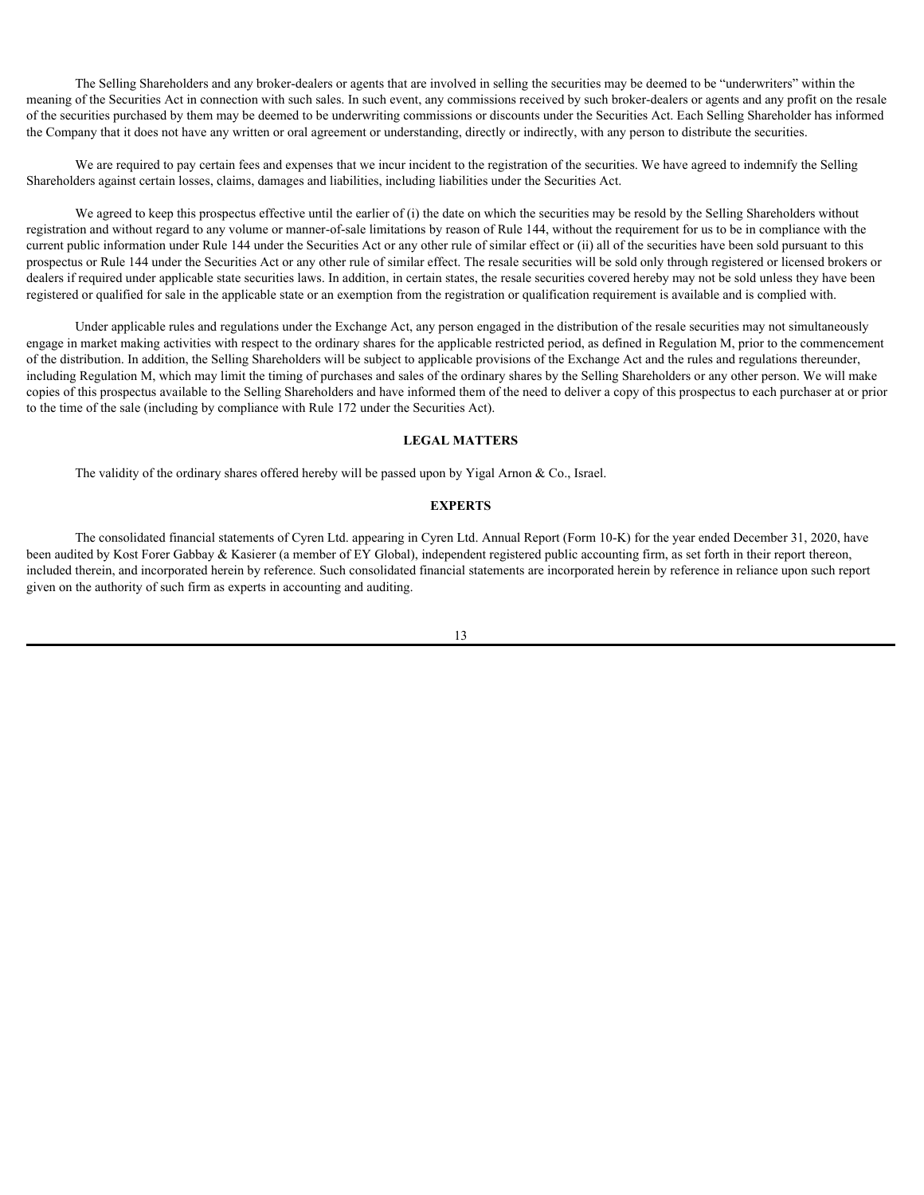The Selling Shareholders and any broker-dealers or agents that are involved in selling the securities may be deemed to be "underwriters" within the meaning of the Securities Act in connection with such sales. In such event, any commissions received by such broker-dealers or agents and any profit on the resale of the securities purchased by them may be deemed to be underwriting commissions or discounts under the Securities Act. Each Selling Shareholder has informed the Company that it does not have any written or oral agreement or understanding, directly or indirectly, with any person to distribute the securities.

We are required to pay certain fees and expenses that we incur incident to the registration of the securities. We have agreed to indemnify the Selling Shareholders against certain losses, claims, damages and liabilities, including liabilities under the Securities Act.

We agreed to keep this prospectus effective until the earlier of (i) the date on which the securities may be resold by the Selling Shareholders without registration and without regard to any volume or manner-of-sale limitations by reason of Rule 144, without the requirement for us to be in compliance with the current public information under Rule 144 under the Securities Act or any other rule of similar effect or (ii) all of the securities have been sold pursuant to this prospectus or Rule 144 under the Securities Act or any other rule of similar effect. The resale securities will be sold only through registered or licensed brokers or dealers if required under applicable state securities laws. In addition, in certain states, the resale securities covered hereby may not be sold unless they have been registered or qualified for sale in the applicable state or an exemption from the registration or qualification requirement is available and is complied with.

Under applicable rules and regulations under the Exchange Act, any person engaged in the distribution of the resale securities may not simultaneously engage in market making activities with respect to the ordinary shares for the applicable restricted period, as defined in Regulation M, prior to the commencement of the distribution. In addition, the Selling Shareholders will be subject to applicable provisions of the Exchange Act and the rules and regulations thereunder, including Regulation M, which may limit the timing of purchases and sales of the ordinary shares by the Selling Shareholders or any other person. We will make copies of this prospectus available to the Selling Shareholders and have informed them of the need to deliver a copy of this prospectus to each purchaser at or prior to the time of the sale (including by compliance with Rule 172 under the Securities Act).

#### <span id="page-18-0"></span>**LEGAL MATTERS**

The validity of the ordinary shares offered hereby will be passed upon by Yigal Arnon & Co., Israel.

#### <span id="page-18-1"></span>**EXPERTS**

The consolidated financial statements of Cyren Ltd. appearing in Cyren Ltd. Annual Report (Form 10-K) for the year ended December 31, 2020, have been audited by Kost Forer Gabbay & Kasierer (a member of EY Global), independent registered public accounting firm, as set forth in their report thereon, included therein, and incorporated herein by reference. Such consolidated financial statements are incorporated herein by reference in reliance upon such report given on the authority of such firm as experts in accounting and auditing.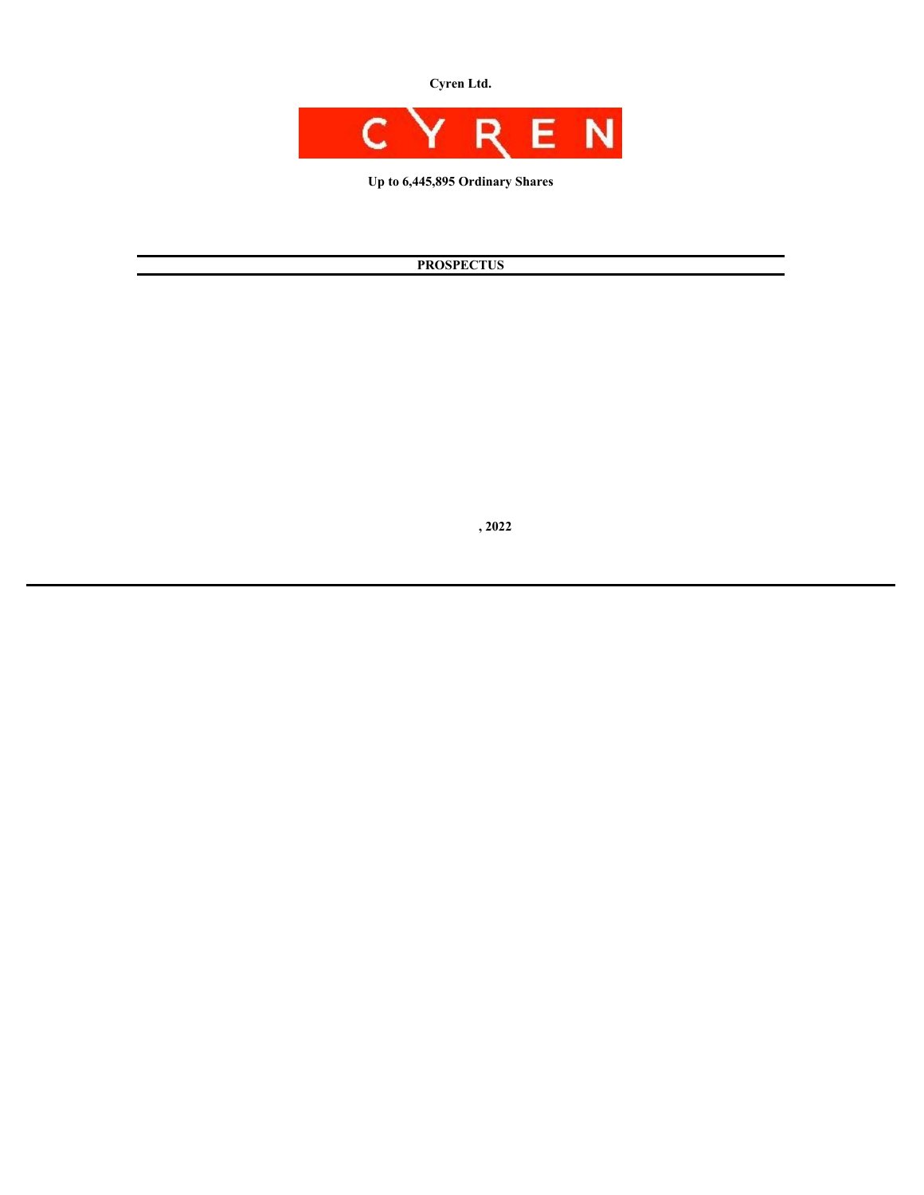**Cyren Ltd.**



**Up to 6,445,895 Ordinary Shares**

# **PROSPECTUS**

 **, 2022**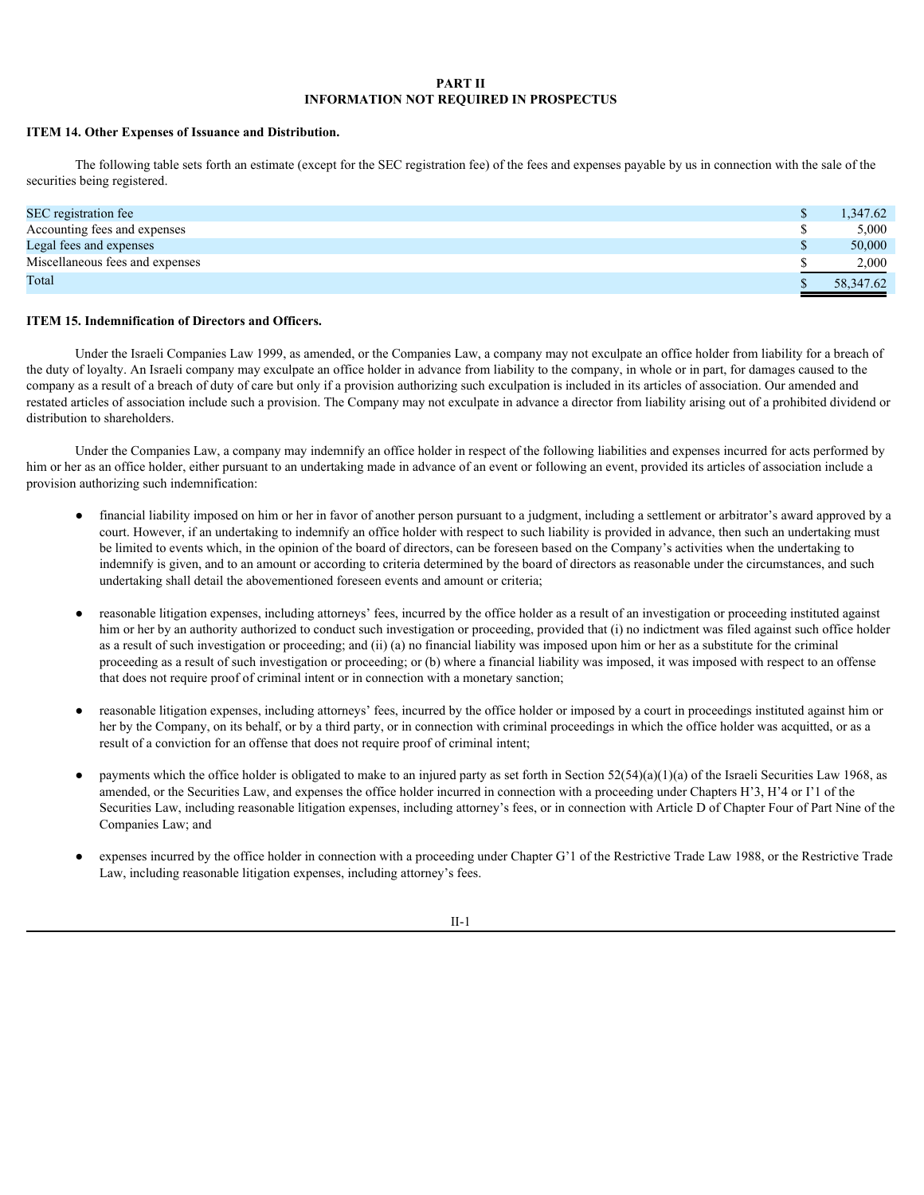#### **PART II INFORMATION NOT REQUIRED IN PROSPECTUS**

#### **ITEM 14. Other Expenses of Issuance and Distribution.**

The following table sets forth an estimate (except for the SEC registration fee) of the fees and expenses payable by us in connection with the sale of the securities being registered.

| SEC registration fee            | 1,347.62  |
|---------------------------------|-----------|
| Accounting fees and expenses    | 5,000     |
| Legal fees and expenses         | 50,000    |
| Miscellaneous fees and expenses | 2,000     |
| Total                           | 58,347.62 |
|                                 |           |

#### **ITEM 15. Indemnification of Directors and Officers.**

Under the Israeli Companies Law 1999, as amended, or the Companies Law, a company may not exculpate an office holder from liability for a breach of the duty of loyalty. An Israeli company may exculpate an office holder in advance from liability to the company, in whole or in part, for damages caused to the company as a result of a breach of duty of care but only if a provision authorizing such exculpation is included in its articles of association. Our amended and restated articles of association include such a provision. The Company may not exculpate in advance a director from liability arising out of a prohibited dividend or distribution to shareholders.

Under the Companies Law, a company may indemnify an office holder in respect of the following liabilities and expenses incurred for acts performed by him or her as an office holder, either pursuant to an undertaking made in advance of an event or following an event, provided its articles of association include a provision authorizing such indemnification:

- financial liability imposed on him or her in favor of another person pursuant to a judgment, including a settlement or arbitrator's award approved by a court. However, if an undertaking to indemnify an office holder with respect to such liability is provided in advance, then such an undertaking must be limited to events which, in the opinion of the board of directors, can be foreseen based on the Company's activities when the undertaking to indemnify is given, and to an amount or according to criteria determined by the board of directors as reasonable under the circumstances, and such undertaking shall detail the abovementioned foreseen events and amount or criteria;
- reasonable litigation expenses, including attorneys' fees, incurred by the office holder as a result of an investigation or proceeding instituted against him or her by an authority authorized to conduct such investigation or proceeding, provided that (i) no indictment was filed against such office holder as a result of such investigation or proceeding; and (ii) (a) no financial liability was imposed upon him or her as a substitute for the criminal proceeding as a result of such investigation or proceeding; or (b) where a financial liability was imposed, it was imposed with respect to an offense that does not require proof of criminal intent or in connection with a monetary sanction;
- reasonable litigation expenses, including attorneys' fees, incurred by the office holder or imposed by a court in proceedings instituted against him or her by the Company, on its behalf, or by a third party, or in connection with criminal proceedings in which the office holder was acquitted, or as a result of a conviction for an offense that does not require proof of criminal intent;
- payments which the office holder is obligated to make to an injured party as set forth in Section  $52(54)(a)(1)(a)$  of the Israeli Securities Law 1968, as amended, or the Securities Law, and expenses the office holder incurred in connection with a proceeding under Chapters H'3, H'4 or I'1 of the Securities Law, including reasonable litigation expenses, including attorney's fees, or in connection with Article D of Chapter Four of Part Nine of the Companies Law; and
- expenses incurred by the office holder in connection with a proceeding under Chapter G'1 of the Restrictive Trade Law 1988, or the Restrictive Trade Law, including reasonable litigation expenses, including attorney's fees.

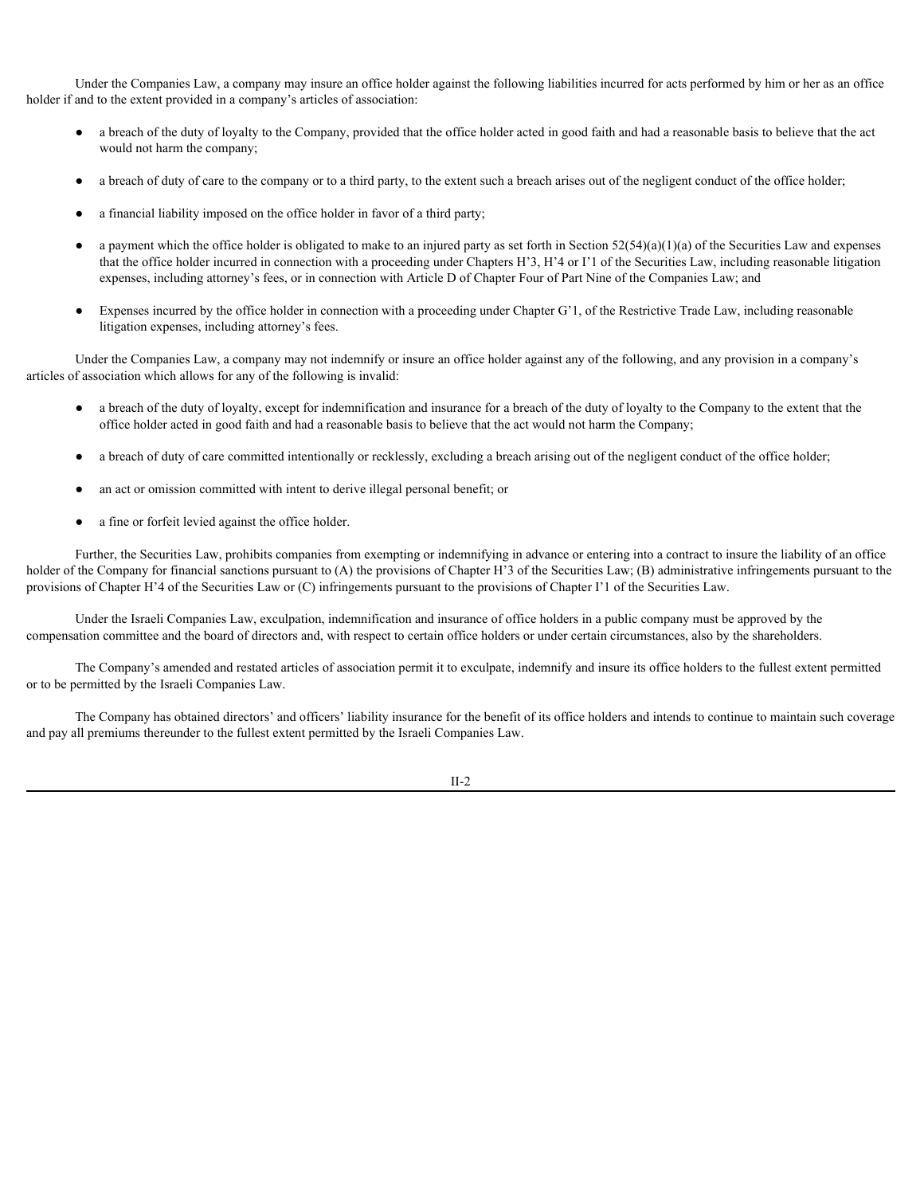Under the Companies Law, a company may insure an office holder against the following liabilities incurred for acts performed by him or her as an office holder if and to the extent provided in a company's articles of association:

- a breach of the duty of loyalty to the Company, provided that the office holder acted in good faith and had a reasonable basis to believe that the act would not harm the company;
- a breach of duty of care to the company or to a third party, to the extent such a breach arises out of the negligent conduct of the office holder;
- a financial liability imposed on the office holder in favor of a third party;
- a payment which the office holder is obligated to make to an injured party as set forth in Section  $52(54)(a)(1)(a)$  of the Securities Law and expenses that the office holder incurred in connection with a proceeding under Chapters H'3, H'4 or I'1 of the Securities Law, including reasonable litigation expenses, including attorney's fees, or in connection with Article D of Chapter Four of Part Nine of the Companies Law; and
- Expenses incurred by the office holder in connection with a proceeding under Chapter G'1, of the Restrictive Trade Law, including reasonable litigation expenses, including attorney's fees.

Under the Companies Law, a company may not indemnify or insure an office holder against any of the following, and any provision in a company's articles of association which allows for any of the following is invalid:

- a breach of the duty of loyalty, except for indemnification and insurance for a breach of the duty of loyalty to the Company to the extent that the office holder acted in good faith and had a reasonable basis to believe that the act would not harm the Company;
- a breach of duty of care committed intentionally or recklessly, excluding a breach arising out of the negligent conduct of the office holder;
- an act or omission committed with intent to derive illegal personal benefit; or
- a fine or forfeit levied against the office holder.

Further, the Securities Law, prohibits companies from exempting or indemnifying in advance or entering into a contract to insure the liability of an office holder of the Company for financial sanctions pursuant to (A) the provisions of Chapter H'3 of the Securities Law; (B) administrative infringements pursuant to the provisions of Chapter H'4 of the Securities Law or (C) infringements pursuant to the provisions of Chapter I'1 of the Securities Law.

Under the Israeli Companies Law, exculpation, indemnification and insurance of office holders in a public company must be approved by the compensation committee and the board of directors and, with respect to certain office holders or under certain circumstances, also by the shareholders.

The Company's amended and restated articles of association permit it to exculpate, indemnify and insure its office holders to the fullest extent permitted or to be permitted by the Israeli Companies Law.

The Company has obtained directors' and officers' liability insurance for the benefit of its office holders and intends to continue to maintain such coverage and pay all premiums thereunder to the fullest extent permitted by the Israeli Companies Law.

II-2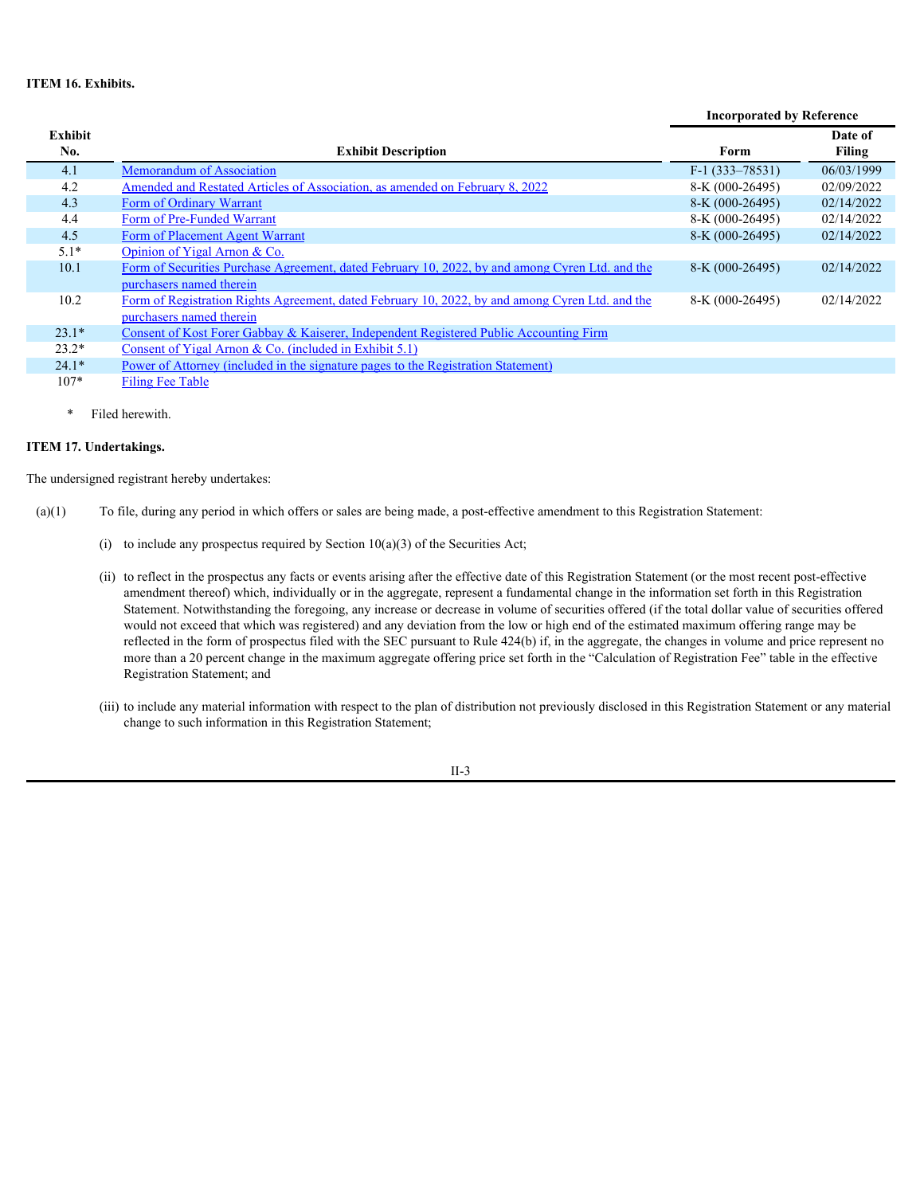## **ITEM 16. Exhibits.**

|                       |                                                                                                 | <b>Incorporated by Reference</b> |                          |
|-----------------------|-------------------------------------------------------------------------------------------------|----------------------------------|--------------------------|
| <b>Exhibit</b><br>No. | <b>Exhibit Description</b>                                                                      | Form                             | Date of<br><b>Filing</b> |
| 4.1                   | Memorandum of Association                                                                       | $F-1$ (333-78531)                | 06/03/1999               |
| 4.2                   | Amended and Restated Articles of Association, as amended on February 8, 2022                    | 8-K (000-26495)                  | 02/09/2022               |
| 4.3                   | Form of Ordinary Warrant                                                                        | $8-K (000-26495)$                | 02/14/2022               |
| 4.4                   | Form of Pre-Funded Warrant                                                                      | 8-K (000-26495)                  | 02/14/2022               |
| 4.5                   | Form of Placement Agent Warrant                                                                 | $8-K (000-26495)$                | 02/14/2022               |
| $5.1*$                | Opinion of Yigal Arnon & Co.                                                                    |                                  |                          |
| 10.1                  | Form of Securities Purchase Agreement, dated February 10, 2022, by and among Cyren Ltd. and the | $8-K (000-26495)$                | 02/14/2022               |
|                       | purchasers named therein                                                                        |                                  |                          |
| 10.2                  | Form of Registration Rights Agreement, dated February 10, 2022, by and among Cyren Ltd. and the | 8-K (000-26495)                  | 02/14/2022               |
|                       | purchasers named therein                                                                        |                                  |                          |
| $23.1*$               | Consent of Kost Forer Gabbay & Kaiserer, Independent Registered Public Accounting Firm          |                                  |                          |
| $23.2*$               | Consent of Yigal Arnon & Co. (included in Exhibit 5.1)                                          |                                  |                          |
| $24.1*$               | Power of Attorney (included in the signature pages to the Registration Statement)               |                                  |                          |
| $107*$                | <b>Filing Fee Table</b>                                                                         |                                  |                          |

\* Filed herewith.

## **ITEM 17. Undertakings.**

The undersigned registrant hereby undertakes:

- (a)(1) To file, during any period in which offers or sales are being made, a post-effective amendment to this Registration Statement:
	- (i) to include any prospectus required by Section  $10(a)(3)$  of the Securities Act;
	- (ii) to reflect in the prospectus any facts or events arising after the effective date of this Registration Statement (or the most recent post-effective amendment thereof) which, individually or in the aggregate, represent a fundamental change in the information set forth in this Registration Statement. Notwithstanding the foregoing, any increase or decrease in volume of securities offered (if the total dollar value of securities offered would not exceed that which was registered) and any deviation from the low or high end of the estimated maximum offering range may be reflected in the form of prospectus filed with the SEC pursuant to Rule 424(b) if, in the aggregate, the changes in volume and price represent no more than a 20 percent change in the maximum aggregate offering price set forth in the "Calculation of Registration Fee" table in the effective Registration Statement; and
	- (iii) to include any material information with respect to the plan of distribution not previously disclosed in this Registration Statement or any material change to such information in this Registration Statement;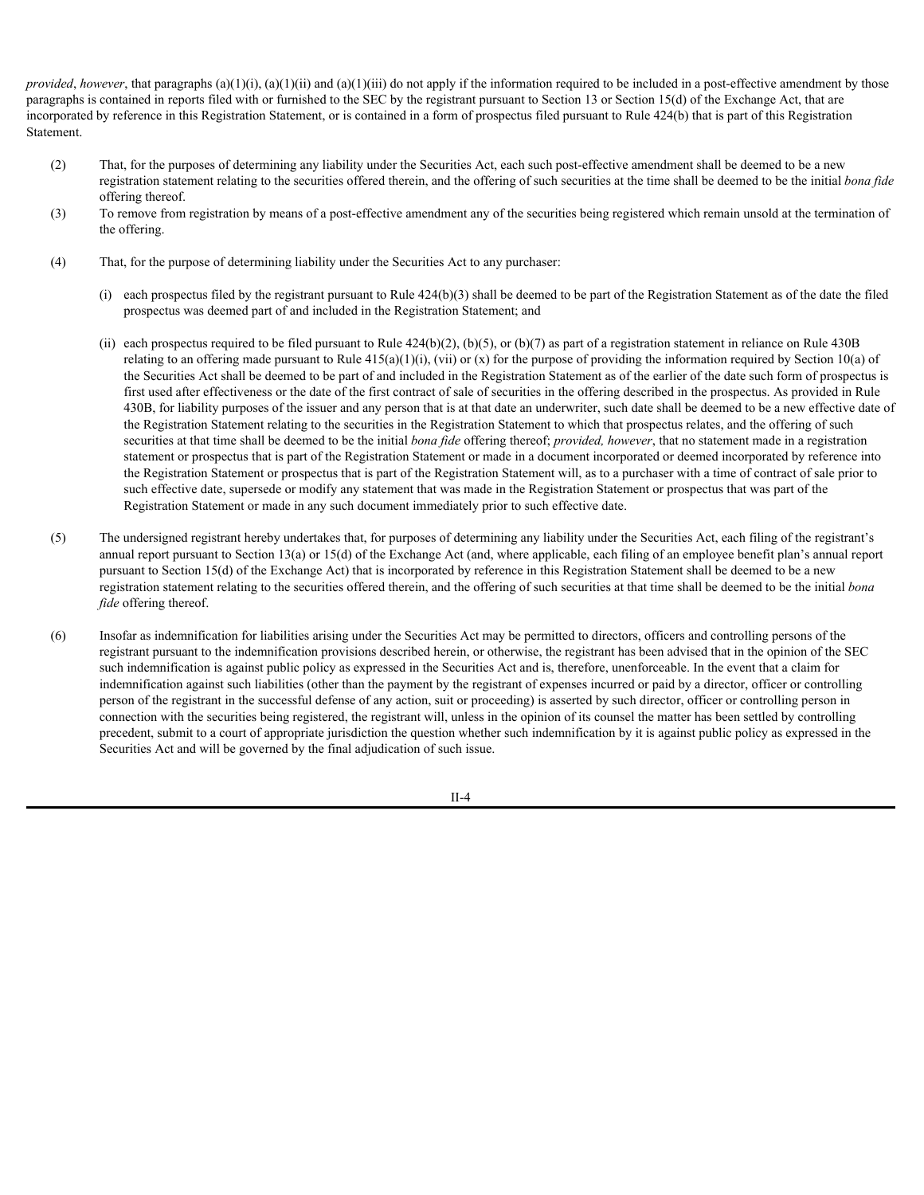*provided*, *however*, that paragraphs (a)(1)(i), (a)(1)(ii) and (a)(1)(iii) do not apply if the information required to be included in a post-effective amendment by those paragraphs is contained in reports filed with or furnished to the SEC by the registrant pursuant to Section 13 or Section 15(d) of the Exchange Act, that are incorporated by reference in this Registration Statement, or is contained in a form of prospectus filed pursuant to Rule 424(b) that is part of this Registration Statement.

- (2) That, for the purposes of determining any liability under the Securities Act, each such post-effective amendment shall be deemed to be a new registration statement relating to the securities offered therein, and the offering of such securities at the time shall be deemed to be the initial *bona fide* offering thereof.
- (3) To remove from registration by means of a post-effective amendment any of the securities being registered which remain unsold at the termination of the offering.
- (4) That, for the purpose of determining liability under the Securities Act to any purchaser:
	- (i) each prospectus filed by the registrant pursuant to Rule  $424(b)(3)$  shall be deemed to be part of the Registration Statement as of the date the filed prospectus was deemed part of and included in the Registration Statement; and
	- (ii) each prospectus required to be filed pursuant to Rule  $424(b)(2)$ , (b)(5), or (b)(7) as part of a registration statement in reliance on Rule 430B relating to an offering made pursuant to Rule  $415(a)(1)(i)$ , (vii) or (x) for the purpose of providing the information required by Section 10(a) of the Securities Act shall be deemed to be part of and included in the Registration Statement as of the earlier of the date such form of prospectus is first used after effectiveness or the date of the first contract of sale of securities in the offering described in the prospectus. As provided in Rule 430B, for liability purposes of the issuer and any person that is at that date an underwriter, such date shall be deemed to be a new effective date of the Registration Statement relating to the securities in the Registration Statement to which that prospectus relates, and the offering of such securities at that time shall be deemed to be the initial *bona fide* offering thereof; *provided, however*, that no statement made in a registration statement or prospectus that is part of the Registration Statement or made in a document incorporated or deemed incorporated by reference into the Registration Statement or prospectus that is part of the Registration Statement will, as to a purchaser with a time of contract of sale prior to such effective date, supersede or modify any statement that was made in the Registration Statement or prospectus that was part of the Registration Statement or made in any such document immediately prior to such effective date.
- (5) The undersigned registrant hereby undertakes that, for purposes of determining any liability under the Securities Act, each filing of the registrant's annual report pursuant to Section 13(a) or 15(d) of the Exchange Act (and, where applicable, each filing of an employee benefit plan's annual report pursuant to Section 15(d) of the Exchange Act) that is incorporated by reference in this Registration Statement shall be deemed to be a new registration statement relating to the securities offered therein, and the offering of such securities at that time shall be deemed to be the initial *bona fide* offering thereof.
- (6) Insofar as indemnification for liabilities arising under the Securities Act may be permitted to directors, officers and controlling persons of the registrant pursuant to the indemnification provisions described herein, or otherwise, the registrant has been advised that in the opinion of the SEC such indemnification is against public policy as expressed in the Securities Act and is, therefore, unenforceable. In the event that a claim for indemnification against such liabilities (other than the payment by the registrant of expenses incurred or paid by a director, officer or controlling person of the registrant in the successful defense of any action, suit or proceeding) is asserted by such director, officer or controlling person in connection with the securities being registered, the registrant will, unless in the opinion of its counsel the matter has been settled by controlling precedent, submit to a court of appropriate jurisdiction the question whether such indemnification by it is against public policy as expressed in the Securities Act and will be governed by the final adjudication of such issue.

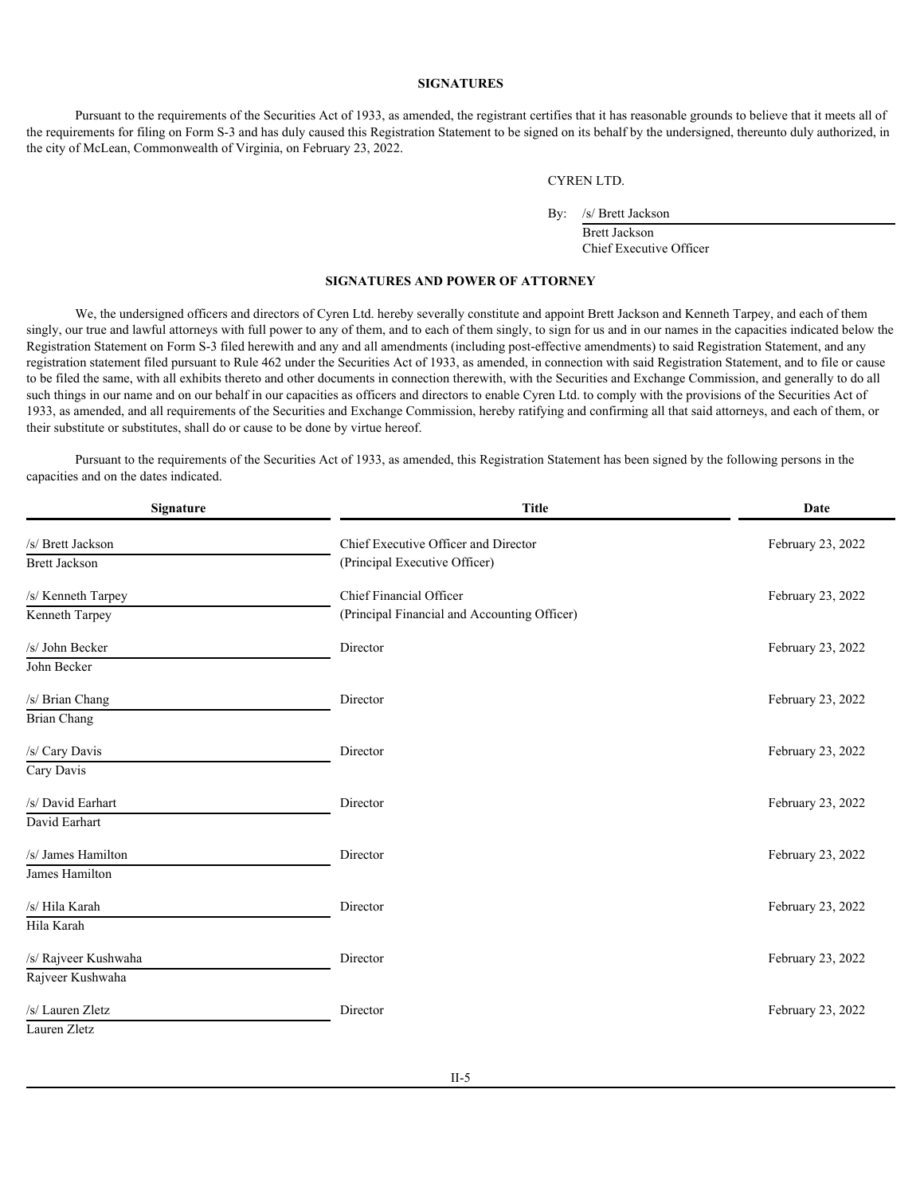#### <span id="page-24-0"></span>**SIGNATURES**

Pursuant to the requirements of the Securities Act of 1933, as amended, the registrant certifies that it has reasonable grounds to believe that it meets all of the requirements for filing on Form S-3 and has duly caused this Registration Statement to be signed on its behalf by the undersigned, thereunto duly authorized, in the city of McLean, Commonwealth of Virginia, on February 23, 2022.

CYREN LTD.

By: /s/ Brett Jackson

Brett Jackson Chief Executive Officer

#### **SIGNATURES AND POWER OF ATTORNEY**

We, the undersigned officers and directors of Cyren Ltd. hereby severally constitute and appoint Brett Jackson and Kenneth Tarpey, and each of them singly, our true and lawful attorneys with full power to any of them, and to each of them singly, to sign for us and in our names in the capacities indicated below the Registration Statement on Form S-3 filed herewith and any and all amendments (including post-effective amendments) to said Registration Statement, and any registration statement filed pursuant to Rule 462 under the Securities Act of 1933, as amended, in connection with said Registration Statement, and to file or cause to be filed the same, with all exhibits thereto and other documents in connection therewith, with the Securities and Exchange Commission, and generally to do all such things in our name and on our behalf in our capacities as officers and directors to enable Cyren Ltd. to comply with the provisions of the Securities Act of 1933, as amended, and all requirements of the Securities and Exchange Commission, hereby ratifying and confirming all that said attorneys, and each of them, or their substitute or substitutes, shall do or cause to be done by virtue hereof.

Pursuant to the requirements of the Securities Act of 1933, as amended, this Registration Statement has been signed by the following persons in the capacities and on the dates indicated.

| Signature            | <b>Title</b>                                 | Date              |
|----------------------|----------------------------------------------|-------------------|
| /s/<br>Brett Jackson | Chief Executive Officer and Director         | February 23, 2022 |
| <b>Brett Jackson</b> | (Principal Executive Officer)                |                   |
| /s/ Kenneth Tarpey   | Chief Financial Officer                      | February 23, 2022 |
| Kenneth Tarpey       | (Principal Financial and Accounting Officer) |                   |
| /s/ John Becker      | Director                                     | February 23, 2022 |
| John Becker          |                                              |                   |
| /s/ Brian Chang      | Director                                     | February 23, 2022 |
| <b>Brian Chang</b>   |                                              |                   |
| /s/ Cary Davis       | Director                                     | February 23, 2022 |
| Cary Davis           |                                              |                   |
| /s/ David Earhart    | Director                                     | February 23, 2022 |
| David Earhart        |                                              |                   |
| /s/ James Hamilton   | Director                                     | February 23, 2022 |
| James Hamilton       |                                              |                   |
| /s/ Hila Karah       | Director                                     | February 23, 2022 |
| Hila Karah           |                                              |                   |
| /s/ Rajveer Kushwaha | Director                                     | February 23, 2022 |
| Rajveer Kushwaha     |                                              |                   |
| /s/ Lauren Zletz     | Director                                     | February 23, 2022 |
| Lauren Zletz         |                                              |                   |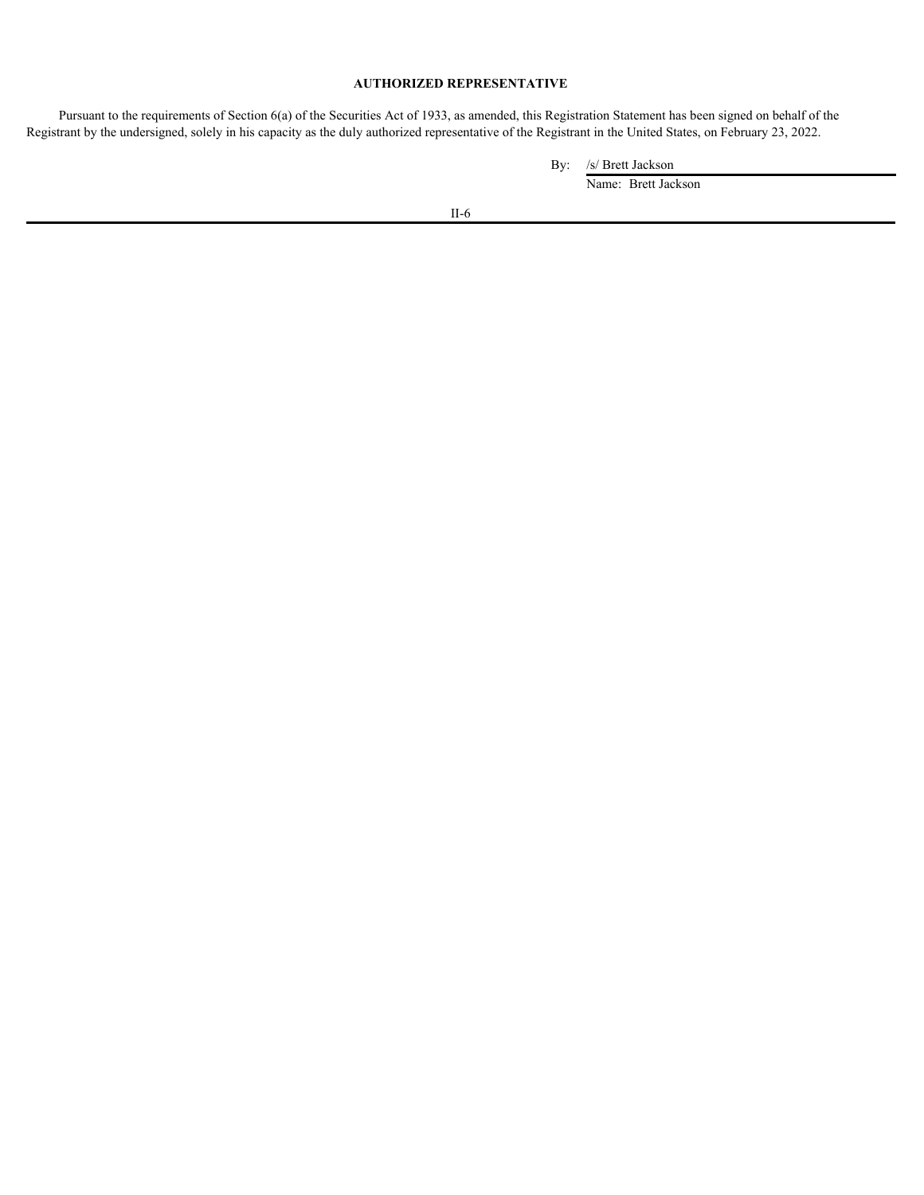## **AUTHORIZED REPRESENTATIVE**

Pursuant to the requirements of Section 6(a) of the Securities Act of 1933, as amended, this Registration Statement has been signed on behalf of the Registrant by the undersigned, solely in his capacity as the duly authorized representative of the Registrant in the United States, on February 23, 2022.

By: /s/ Brett Jackson

Name: Brett Jackson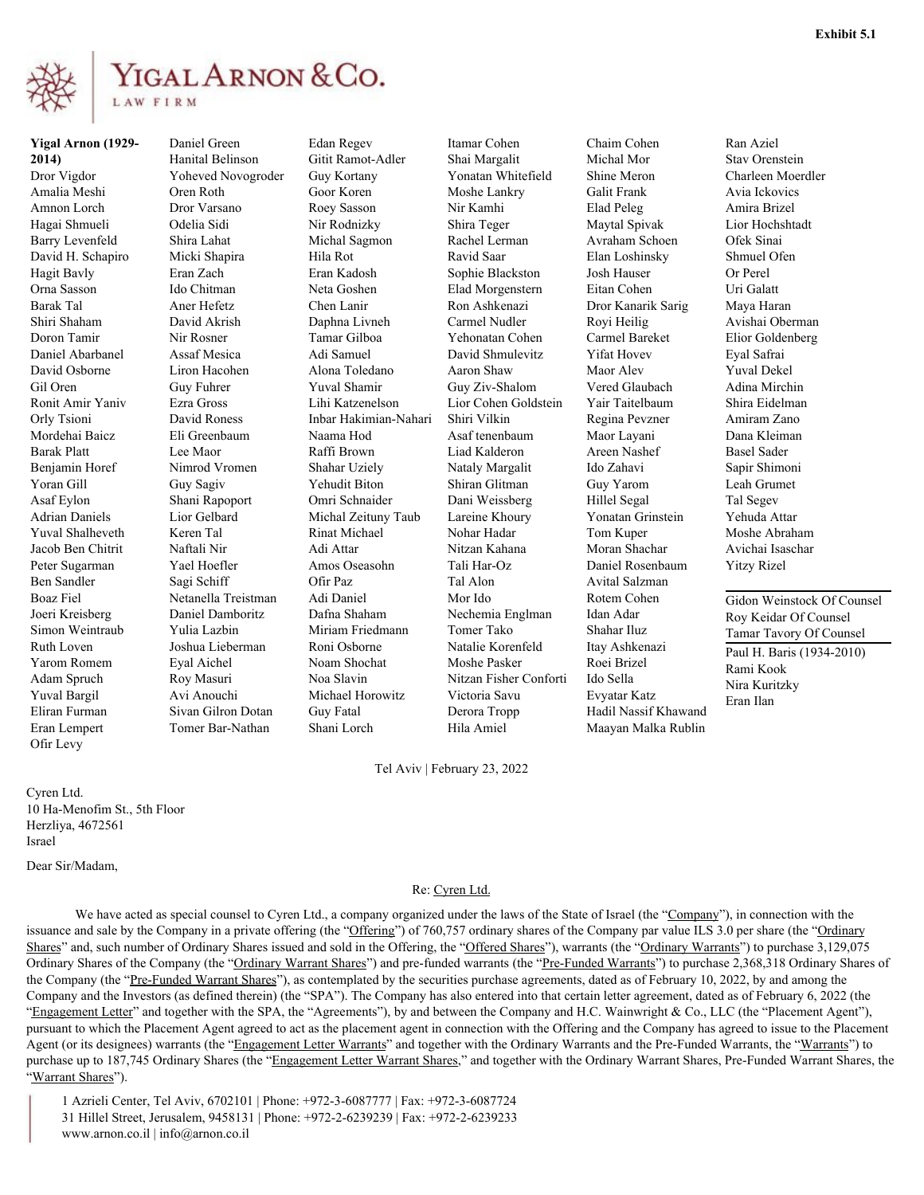<span id="page-26-0"></span>

# YIGAL ARNON & CO. LAW FIRM

**Yigal Arnon (1929- 2014 Hanital Belinson** Amalia Meshi Hagai Shmueli Barry Levenfeld David H. Schapiro Micki Shapira Hila Rot Hagit Bavly **Exam Zach** Eran Kadosh Orna Sasson Barak Tal Doron Tamir Daniel Abarbanel David Osborne Liron Hacohen Orly Tsioni David Roness Mordehai Baicz Eli Greenbaum Naama Hod Barak Platt **Lee Maor** Yoran Gill Guy Sagiv Asaf Eylon Adrian Daniels Yuval Shalheveth Keren Tal Jacob Ben Chitrit Peter Sugarman Yael Hoefler Ben Sandler Joeri Kreisberg Ruth Loven Joshua Lieberman Roni Osborne Yarom Romem Eyal Aichel Adam Spruch Roy Masuri Noa Slavin Yuval Bargil Ofir Levy

Micki Shapira Assaf Mesica Naftali Nir Sagi Schiff Roy Masuri

Dror Vigdor Yoheved Novogroder Gil Oren Guy Fuhrer Ronit Amir Yaniv Ezra Gross Eran Lempert Tomer Bar-Nathan Nir Rodnizky Michal Sagmon Chen Lanir Tamar Gilboa Raffi Brown Omri Schnaider Keren Tal Rinat Michael Amos Oseasohn Eyal Aichel Noam Shochat Adi Daniel Guy Fatal **Derora** Tropp Shani Lorch Hila Amiel Maayan Malka Rublin

Amnon Lorch Dror Varsano Roey Sasson Shiri Shaham David Akrish Daphna Livneh Benjamin Horef Nimrod Vromen Boaz Fiel Netanella Treistman Simon Weintraub Yulia Lazbin Miriam Friedmann Eliran Furman Sivan Gilron Dotan Daniel Green Edan Regev Hanital Belinson Gitit Ramot-Adler Oren Roth Goor Koren Moshe Lankry Eran Zach Eran Kadosh Sophie Blackston Ido Chitman Neta Goshen Elad Morgenstern Liron Hacohen Alona Toledano David Roness Inbar Hakimian-Nahari Eli Greenbaum Naama Hod Asaf tenenbaum Maor Layani Guy Sagiv Yehudit Biton Shiran Glitman Lior Gelbard Michal Zeituny Taub Lareine Khoury Yonatan Grinstein Nechemia Englman Joshua Lieberman Roni Osborne Avi Anouchi Michael Horowitz Guy Kortany Yonatan Whitefield Nir Rodnizky Shira Teger Maytal Spivak Michal Sagmon Rachel Lerman Avraham Schoen Ravid Saar Ron Ashkenazi Yehonatan Cohen Carmel Bareket Adi Samuel David Shmulevitz Yuval Shamir Guy Ziv-Shalom Lihi Katzenelson Lior Cohen Goldstein Raffi Brown Liad Kalderon Shahar Uziely Nataly Margalit Omri Schnaider Dani Weissberg Nitzan Kahana Amos Oseasohn Tali Har-Oz Daniel Rosenbaum Tal Alon Noa Slavin Nitzan Fisher Conforti Itamar Cohen Chaim Cohen Shai Margalit Nir Kamhi Ravid Saar Elan Loshinsky Ron Ashkenazi Dror Kanarik Sarig Carmel Nudler Yehonatan Cohen Carmel Bareket Elior Goldenberg Aaron Shaw Maor Alev Yuval Dekel Shiri Vilkin Regina Pevzner Lareine Khoury Yonatan Grinstein Nohar Hadar Tal Alon Avital Salzman Moshe Pasker Victoria Savu Derora Tropp Hadil Nassif Khawand

Moran Shachar

Roei Brizel

Evyatar Katz

Josh Hauser Eitan Cohen

Vered Glaubach Yair Taitelbaum

Areen Nashef

Hillel Segal

Tel Aviv | February 23, 2022

Cyren Ltd. 10 Ha-Menofim St., 5th Floor Herzliya, 4672561 Israel

Dear Sir/Madam,

#### Re: Cyren Ltd.

We have acted as special counsel to Cyren Ltd., a company organized under the laws of the State of Israel (the "Company"), in connection with the issuance and sale by the Company in a private offering (the "Offering") of 760,757 ordinary shares of the Company par value ILS 3.0 per share (the "Ordinary Shares" and, such number of Ordinary Shares issued and sold in the Offering, the "Offered Shares"), warrants (the "Ordinary Warrants") to purchase 3,129,075 Ordinary Shares of the Company (the "Ordinary Warrant Shares") and pre-funded warrants (the "Pre-Funded Warrants") to purchase 2,368,318 Ordinary Shares of the Company (the "Pre-Funded Warrant Shares"), as contemplated by the securities purchase agreements, dated as of February 10, 2022, by and among the Company and the Investors (as defined therein) (the "SPA"). The Company has also entered into that certain letter agreement, dated as of February 6, 2022 (the "Engagement Letter" and together with the SPA, the "Agreements"), by and between the Company and H.C. Wainwright & Co., LLC (the "Placement Agent"), pursuant to which the Placement Agent agreed to act as the placement agent in connection with the Offering and the Company has agreed to issue to the Placement Agent (or its designees) warrants (the "Engagement Letter Warrants" and together with the Ordinary Warrants and the Pre-Funded Warrants, the "Warrants") to purchase up to 187,745 Ordinary Shares (the "Engagement Letter Warrant Shares," and together with the Ordinary Warrant Shares, Pre-Funded Warrant Shares, the "Warrant Shares").

1 Azrieli Center, Tel Aviv, 6702101 | Phone: +972-3-6087777 | Fax: +972-3-6087724 31 Hillel Street, Jerusalem, 9458131 | Phone: +972-2-6239239 | Fax: +972-2-6239233 www.arnon.co.il | info@arnon.co.il

Michal Mor Stav Orenstein Shine Meron Charleen Moerdler Galit Frank Avia Ickovics Elad Peleg Amira Brizel Royi Heilig Avishai Oberman Yifat Hovev Eyal Safrai Ido Zahavi Sapir Shimoni Guy Yarom Leah Grumet Tom Kuper Moshe Abraham Moran Shachar Avichai Isaschar Ran Aziel Lior Hochshtadt Ofek Sinai Shmuel Ofen Or Perel Uri Galatt Maya Haran Adina Mirchin Shira Eidelman Amiram Zano Dana Kleiman Basel Sader Tal Segev Yehuda Attar Yitzy Rizel

Dafna Shaham Nechemia Englman Idan Adar Roy Keidar Of Counsel Mor Ido Rotem Cohen Gidon Weinstock Of Counsel Tomer Tako Shahar Iluz Tamar Tavory Of Counsel Natalie Korenfeld Itay Ashkenazi Paul H. Baris (1934-2010) Ido Sella Nira Kuritzky Rami Kook Eran Ilan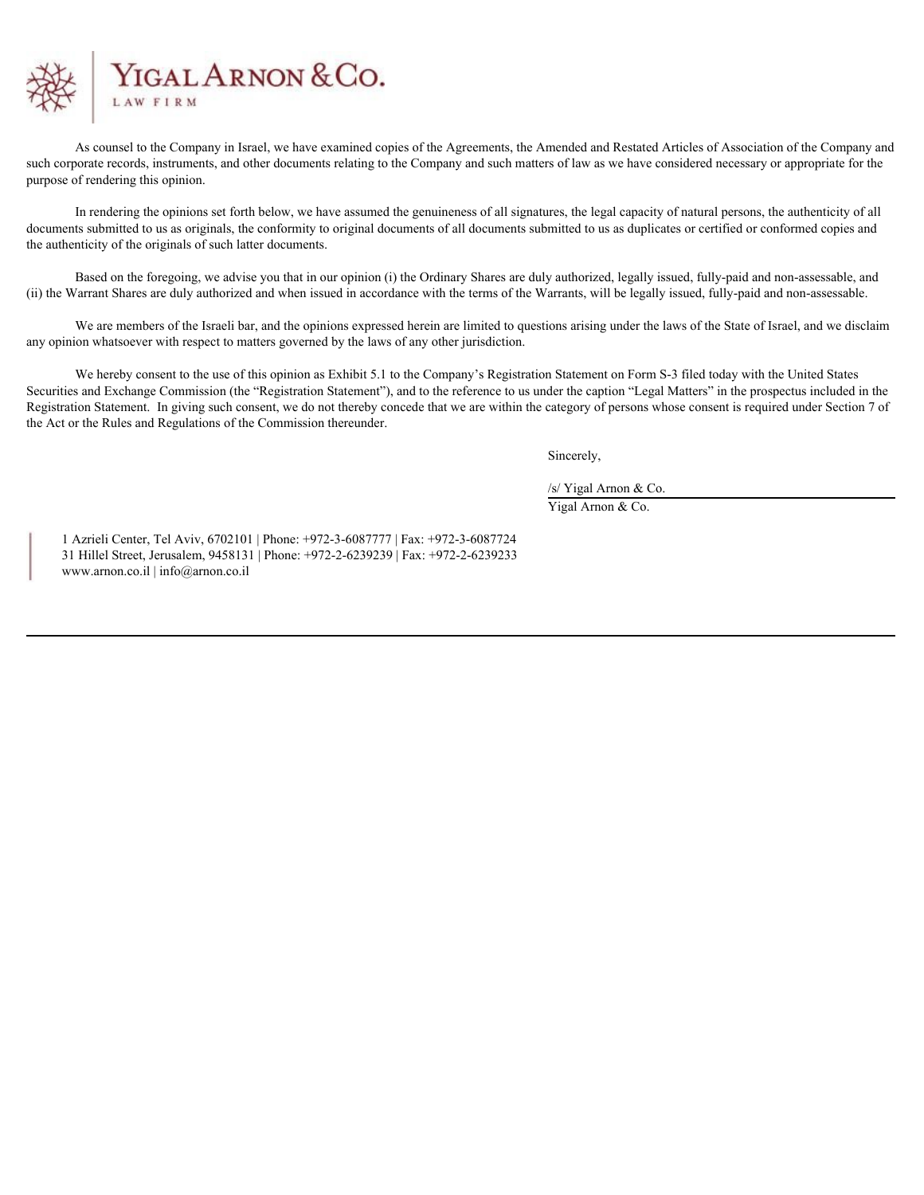

As counsel to the Company in Israel, we have examined copies of the Agreements, the Amended and Restated Articles of Association of the Company and such corporate records, instruments, and other documents relating to the Company and such matters of law as we have considered necessary or appropriate for the purpose of rendering this opinion.

In rendering the opinions set forth below, we have assumed the genuineness of all signatures, the legal capacity of natural persons, the authenticity of all documents submitted to us as originals, the conformity to original documents of all documents submitted to us as duplicates or certified or conformed copies and the authenticity of the originals of such latter documents.

Based on the foregoing, we advise you that in our opinion (i) the Ordinary Shares are duly authorized, legally issued, fully-paid and non-assessable, and (ii) the Warrant Shares are duly authorized and when issued in accordance with the terms of the Warrants, will be legally issued, fully-paid and non-assessable.

We are members of the Israeli bar, and the opinions expressed herein are limited to questions arising under the laws of the State of Israel, and we disclaim any opinion whatsoever with respect to matters governed by the laws of any other jurisdiction.

We hereby consent to the use of this opinion as Exhibit 5.1 to the Company's Registration Statement on Form S-3 filed today with the United States Securities and Exchange Commission (the "Registration Statement"), and to the reference to us under the caption "Legal Matters" in the prospectus included in the Registration Statement. In giving such consent, we do not thereby concede that we are within the category of persons whose consent is required under Section 7 of the Act or the Rules and Regulations of the Commission thereunder.

Sincerely,

/s/ Yigal Arnon & Co.

Yigal Arnon & Co.

1 Azrieli Center, Tel Aviv, 6702101 | Phone: +972-3-6087777 | Fax: +972-3-6087724 31 Hillel Street, Jerusalem, 9458131 | Phone: +972-2-6239239 | Fax: +972-2-6239233 www.arnon.co.il | info@arnon.co.il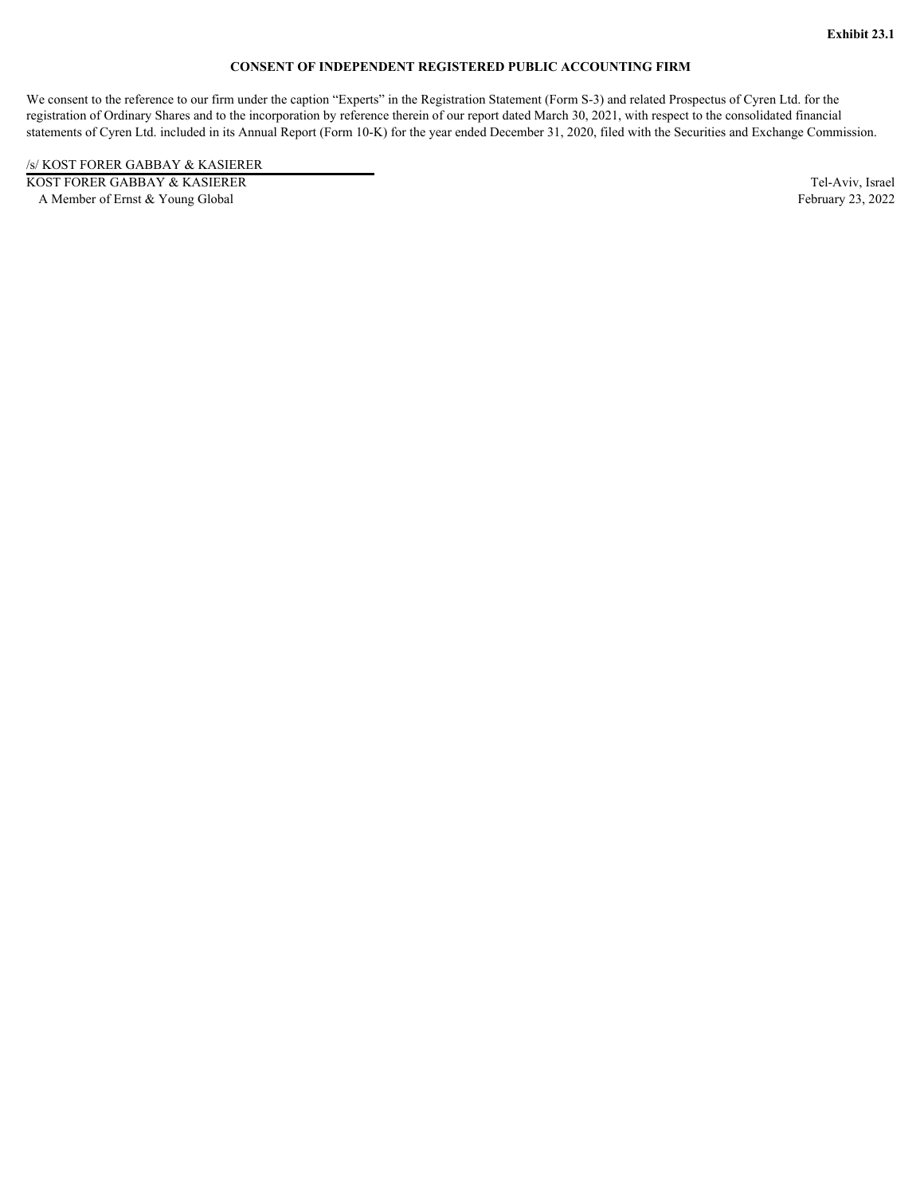## **CONSENT OF INDEPENDENT REGISTERED PUBLIC ACCOUNTING FIRM**

<span id="page-29-0"></span>We consent to the reference to our firm under the caption "Experts" in the Registration Statement (Form S-3) and related Prospectus of Cyren Ltd. for the registration of Ordinary Shares and to the incorporation by reference therein of our report dated March 30, 2021, with respect to the consolidated financial statements of Cyren Ltd. included in its Annual Report (Form 10-K) for the year ended December 31, 2020, filed with the Securities and Exchange Commission.

/s/ KOST FORER GABBAY & KASIERER

KOST FORER GABBAY & KASIERER Tel-Aviv, Israel A Member of Ernst & Young Global February 23, 2022